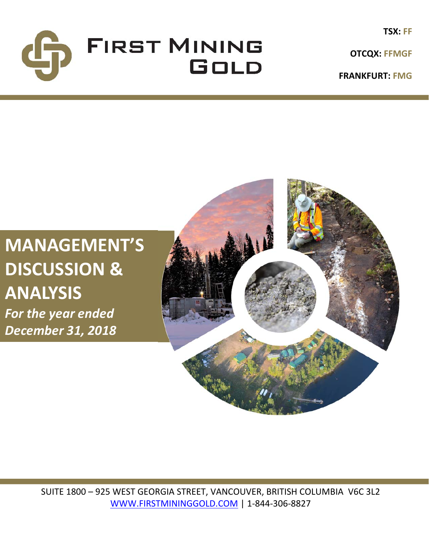

**OTCQX: FFMGF**

**FRANKFURT: FMG**

# **MANAGEMENT'S DISCUSSION & ANALYSIS**

*For the year ended December 31, 2018*



SUITE 1800 – 925 WEST GEORGIA STREET, VANCOUVER, BRITISH COLUMBIA V6C 3L2 WWW.FIRSTMININGGOLD.COM | 1‐844‐306‐8827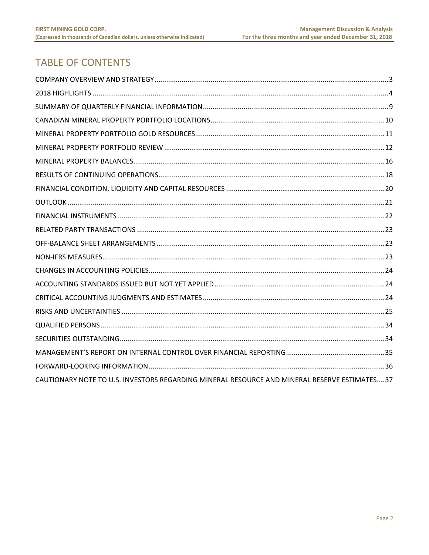## **TABLE OF CONTENTS**

| CAUTIONARY NOTE TO U.S. INVESTORS REGARDING MINERAL RESOURCE AND MINERAL RESERVE ESTIMATES37 |  |
|----------------------------------------------------------------------------------------------|--|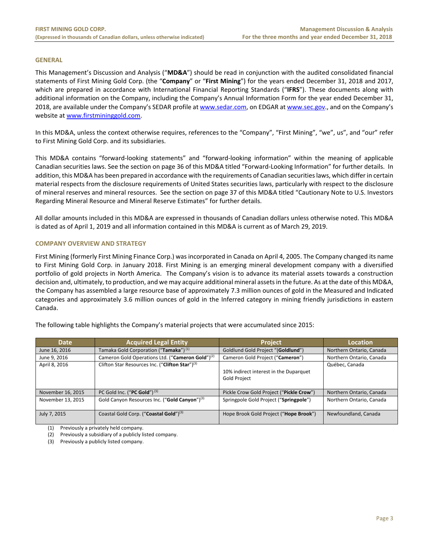#### **GENERAL**

This Management's Discussion and Analysis ("**MD&A**") should be read in conjunction with the audited consolidated financial statements of First Mining Gold Corp. (the "**Company**" or "**First Mining**") for the years ended December 31, 2018 and 2017, which are prepared in accordance with International Financial Reporting Standards ("IFRS"). These documents along with additional information on the Company, including the Company's Annual Information Form for the year ended December 31, 2018, are available under the Company's SEDAR profile at www.sedar.com, on EDGAR at www.sec.gov., and on the Company's website at www.firstmininggold.com.

In this MD&A, unless the context otherwise requires, references to the "Company", "First Mining", "we", us", and "our" refer to First Mining Gold Corp. and its subsidiaries.

This MD&A contains "forward‐looking statements" and "forward‐looking information" within the meaning of applicable Canadian securities laws. See the section on page 36 of this MD&A titled "Forward‐Looking Information" for further details. In addition, this MD&A has been prepared in accordance with the requirements of Canadian securities laws, which differ in certain material respects from the disclosure requirements of United States securities laws, particularly with respect to the disclosure of mineral reserves and mineral resources. See the section on page 37 of this MD&A titled "Cautionary Note to U.S. Investors Regarding Mineral Resource and Mineral Reserve Estimates" for further details.

All dollar amounts included in this MD&A are expressed in thousands of Canadian dollars unless otherwise noted. This MD&A is dated as of April 1, 2019 and all information contained in this MD&A is current as of March 29, 2019.

#### **COMPANY OVERVIEW AND STRATEGY**

First Mining (formerly First Mining Finance Corp.) was incorporated in Canada on April 4, 2005. The Company changed its name to First Mining Gold Corp. in January 2018. First Mining is an emerging mineral development company with a diversified portfolio of gold projects in North America. The Company's vision is to advance its material assets towards a construction decision and, ultimately, to production, and we may acquire additional mineral assets in the future. As at the date of this MD&A, the Company has assembled a large resource base of approximately 7.3 million ounces of gold in the Measured and Indicated categories and approximately 3.6 million ounces of gold in the Inferred category in mining friendly jurisdictions in eastern Canada.

| <b>Date</b>       | <b>Acquired Legal Entity</b>                                 | <b>Project</b>                                         | <b>Location</b>          |
|-------------------|--------------------------------------------------------------|--------------------------------------------------------|--------------------------|
| June 16, 2016     | Tamaka Gold Corporation ("Tamaka") <sup>(1)</sup>            | Goldlund Gold Project "(Goldlund")                     | Northern Ontario, Canada |
| June 9, 2016      | Cameron Gold Operations Ltd. ("Cameron Gold") <sup>(2)</sup> | Cameron Gold Project ("Cameron")                       | Northern Ontario, Canada |
| April 8, 2016     | Clifton Star Resources Inc. ("Clifton Star") <sup>(3)</sup>  | 10% indirect interest in the Duparquet<br>Gold Project | Québec, Canada           |
| November 16, 2015 | PC Gold Inc. ("PC Gold") $(3)$                               | Pickle Crow Gold Project ("Pickle Crow")               | Northern Ontario, Canada |
| November 13, 2015 | Gold Canyon Resources Inc. ("Gold Canyon") <sup>(3)</sup>    | Springpole Gold Project ("Springpole")                 | Northern Ontario, Canada |
| July 7, 2015      | Coastal Gold Corp. ("Coastal Gold") <sup>(3)</sup>           | Hope Brook Gold Project ("Hope Brook")                 | Newfoundland, Canada     |

The following table highlights the Company's material projects that were accumulated since 2015:

(1) Previously a privately held company.

(2) Previously a subsidiary of a publicly listed company.

(3) Previously a publicly listed company.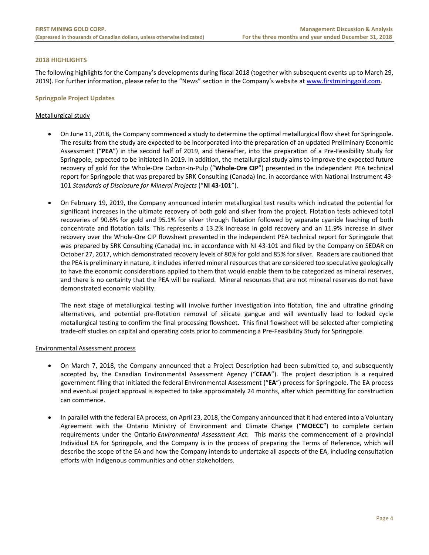#### **2018 HIGHLIGHTS**

The following highlights for the Company's developments during fiscal 2018 (together with subsequent events up to March 29, 2019). For further information, please refer to the "News" section in the Company's website at www.firstmininggold.com.

#### **Springpole Project Updates**

#### Metallurgical study

- On June 11, 2018, the Company commenced a study to determine the optimal metallurgical flow sheet for Springpole. The results from the study are expected to be incorporated into the preparation of an updated Preliminary Economic Assessment ("**PEA**") in the second half of 2019, and thereafter, into the preparation of a Pre‐Feasibility Study for Springpole, expected to be initiated in 2019. In addition, the metallurgical study aims to improve the expected future recovery of gold for the Whole‐Ore Carbon‐in‐Pulp ("**Whole‐Ore CIP**") presented in the independent PEA technical report for Springpole that was prepared by SRK Consulting (Canada) Inc. in accordance with National Instrument 43‐ 101 *Standards of Disclosure for Mineral Projects* ("**NI 43‐101**").
- On February 19, 2019, the Company announced interim metallurgical test results which indicated the potential for significant increases in the ultimate recovery of both gold and silver from the project. Flotation tests achieved total recoveries of 90.6% for gold and 95.1% for silver through flotation followed by separate cyanide leaching of both concentrate and flotation tails. This represents a 13.2% increase in gold recovery and an 11.9% increase in silver recovery over the Whole‐Ore CIP flowsheet presented in the independent PEA technical report for Springpole that was prepared by SRK Consulting (Canada) Inc. in accordance with NI 43-101 and filed by the Company on SEDAR on October 27, 2017, which demonstrated recovery levels of 80% for gold and 85% for silver. Readers are cautioned that the PEA is preliminary in nature, it includes inferred mineral resources that are considered too speculative geologically to have the economic considerations applied to them that would enable them to be categorized as mineral reserves, and there is no certainty that the PEA will be realized. Mineral resources that are not mineral reserves do not have demonstrated economic viability.

The next stage of metallurgical testing will involve further investigation into flotation, fine and ultrafine grinding alternatives, and potential pre-flotation removal of silicate gangue and will eventually lead to locked cycle metallurgical testing to confirm the final processing flowsheet. This final flowsheet will be selected after completing trade‐off studies on capital and operating costs prior to commencing a Pre‐Feasibility Study for Springpole.

#### Environmental Assessment process

- On March 7, 2018, the Company announced that a Project Description had been submitted to, and subsequently accepted by, the Canadian Environmental Assessment Agency ("**CEAA**"). The project description is a required government filing that initiated the federal Environmental Assessment ("**EA**") process for Springpole. The EA process and eventual project approval is expected to take approximately 24 months, after which permitting for construction can commence.
- In parallel with the federal EA process, on April 23, 2018, the Company announced that it had entered into a Voluntary Agreement with the Ontario Ministry of Environment and Climate Change ("**MOECC**") to complete certain requirements under the Ontario *Environmental Assessment Act*. This marks the commencement of a provincial Individual EA for Springpole, and the Company is in the process of preparing the Terms of Reference, which will describe the scope of the EA and how the Company intends to undertake all aspects of the EA, including consultation efforts with Indigenous communities and other stakeholders.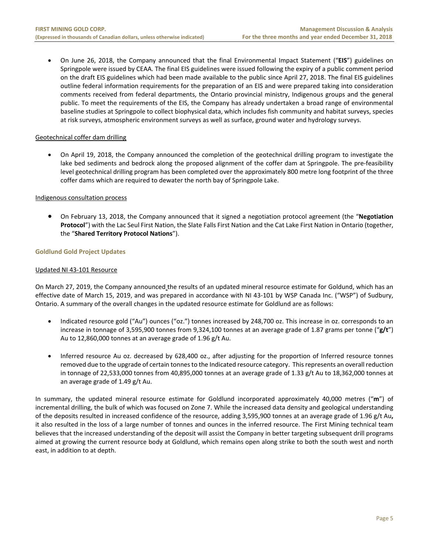On June 26, 2018, the Company announced that the final Environmental Impact Statement ("**EIS**") guidelines on Springpole were issued by CEAA. The final EIS guidelines were issued following the expiry of a public comment period on the draft EIS guidelines which had been made available to the public since April 27, 2018. The final EIS guidelines outline federal information requirements for the preparation of an EIS and were prepared taking into consideration comments received from federal departments, the Ontario provincial ministry, Indigenous groups and the general public. To meet the requirements of the EIS, the Company has already undertaken a broad range of environmental baseline studies at Springpole to collect biophysical data, which includes fish community and habitat surveys, species at risk surveys, atmospheric environment surveys as well as surface, ground water and hydrology surveys.

#### Geotechnical coffer dam drilling

 On April 19, 2018, the Company announced the completion of the geotechnical drilling program to investigate the lake bed sediments and bedrock along the proposed alignment of the coffer dam at Springpole. The pre-feasibility level geotechnical drilling program has been completed over the approximately 800 metre long footprint of the three coffer dams which are required to dewater the north bay of Springpole Lake.

#### Indigenous consultation process

 On February 13, 2018, the Company announced that it signed a negotiation protocol agreement (the "**Negotiation Protocol**") with the Lac Seul First Nation, the Slate Falls First Nation and the Cat Lake First Nation in Ontario (together, the "**Shared Territory Protocol Nations**").

#### **Goldlund Gold Project Updates**

#### Updated NI 43‐101 Resource

On March 27, 2019, the Company announced the results of an updated mineral resource estimate for Goldund, which has an effective date of March 15, 2019, and was prepared in accordance with NI 43-101 by WSP Canada Inc. ("WSP") of Sudbury, Ontario. A summary of the overall changes in the updated resource estimate for Goldlund are as follows:

- Indicated resource gold ("Au") ounces ("oz.") tonnes increased by 248,700 oz. This increase in oz. corresponds to an increase in tonnage of 3,595,900 tonnes from 9,324,100 tonnes at an average grade of 1.87 grams per tonne ("**g/t**") Au to 12,860,000 tonnes at an average grade of 1.96 g/t Au.
- Inferred resource Au oz. decreased by 628,400 oz., after adjusting for the proportion of Inferred resource tonnes removed due to the upgrade of certain tonnes to the Indicated resource category. This represents an overall reduction in tonnage of 22,533,000 tonnes from 40,895,000 tonnes at an average grade of 1.33 g/t Au to 18,362,000 tonnes at an average grade of 1.49 g/t Au.

In summary, the updated mineral resource estimate for Goldlund incorporated approximately 40,000 metres ("**m**") of incremental drilling, the bulk of which was focused on Zone 7. While the increased data density and geological understanding of the deposits resulted in increased confidence of the resource, adding 3,595,900 tonnes at an average grade of 1.96 g/t Au**,**  it also resulted in the loss of a large number of tonnes and ounces in the inferred resource. The First Mining technical team believes that the increased understanding of the deposit will assist the Company in better targeting subsequent drill programs aimed at growing the current resource body at Goldlund, which remains open along strike to both the south west and north east, in addition to at depth.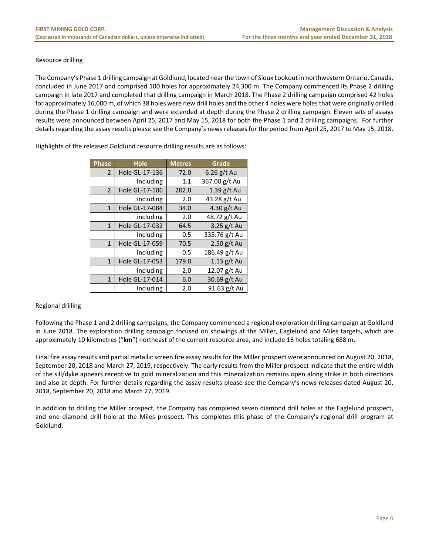#### Resource drilling

The Company's Phase 1 drilling campaign at Goldlund, located near the town of Sioux Lookout in northwestern Ontario, Canada, concluded in June 2017 and comprised 100 holes for approximately 24,300 m. The Company commenced its Phase 2 drilling campaign in late 2017 and completed that drilling campaign in March 2018. The Phase 2 drilling campaign comprised 42 holes for approximately 16,000 m, of which 38 holes were new drill holes and the other 4 holes were holes that were originally drilled during the Phase 1 drilling campaign and were extended at depth during the Phase 2 drilling campaign. Eleven sets of assays results were announced between April 25, 2017 and May 15, 2018 for both the Phase 1 and 2 drilling campaigns. For further details regarding the assay results please see the Company's news releases for the period from April 25, 2017 to May 15, 2018.

| <b>Phase</b>   | <b>Hole</b>    | <b>Metres</b> | Grade         |
|----------------|----------------|---------------|---------------|
| $\overline{2}$ | Hole GL-17-136 | 72.0          | $6.26$ g/t Au |
|                | Including      | 1.1           | 367.00 g/t Au |
| $\overline{2}$ | Hole GL-17-106 | 202.0         | $1.39$ g/t Au |
|                | including      | 2.0           | 43.28 g/t Au  |
| $\mathbf{1}$   | Hole GL-17-084 | 34.0          | 4.30 g/t Au   |
|                | including      | 2.0           | 48.72 g/t Au  |
| $\mathbf{1}$   | Hole GL-17-032 | 64.5          | 3.25 $g/t$ Au |
|                | Including      | 0.5           | 335.76 g/t Au |
| $\mathbf{1}$   | Hole GL-17-059 | 70.5          | $2.50$ g/t Au |
|                | Including      | 0.5           | 186.49 g/t Au |
| $\mathbf{1}$   | Hole GL-17-053 | 179.0         | $1.13$ g/t Au |
|                | Including      | 2.0           | 12.07 g/t Au  |
| $\mathbf{1}$   | Hole GL-17-014 | 6.0           | 30.69 g/t Au  |
|                | Including      | 2.0           | 91.63 g/t Au  |

Highlights of the released Goldlund resource drilling results are as follows:

#### Regional drilling

Following the Phase 1 and 2 drilling campaigns, the Company commenced a regional exploration drilling campaign at Goldlund in June 2018. The exploration drilling campaign focused on showings at the Miller, Eaglelund and Miles targets, which are approximately 10 kilometres ("**km**") northeast of the current resource area, and include 16 holes totaling 688 m.

Final fire assay results and partial metallic screen fire assay results for the Miller prospect were announced on August 20, 2018, September 20, 2018 and March 27, 2019, respectively. The early results from the Miller prospect indicate that the entire width of the sill/dyke appears receptive to gold mineralization and this mineralization remains open along strike in both directions and also at depth. For further details regarding the assay results please see the Company's news releases dated August 20, 2018, September 20, 2018 and March 27, 2019.

In addition to drilling the Miller prospect, the Company has completed seven diamond drill holes at the Eaglelund prospect, and one diamond drill hole at the Miles prospect. This completes this phase of the Company's regional drill program at Goldlund.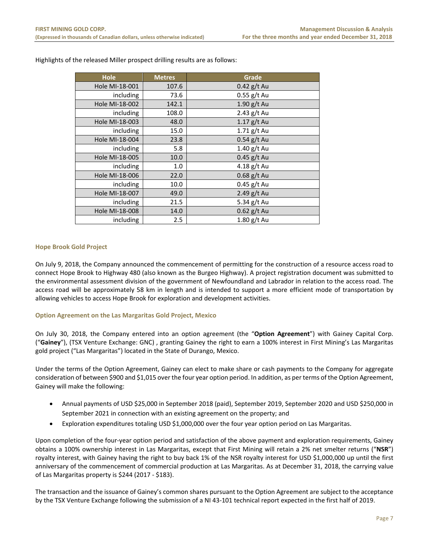| <b>Hole</b>    | <b>Metres</b> | Grade         |
|----------------|---------------|---------------|
| Hole MI-18-001 | 107.6         | $0.42$ g/t Au |
| including      | 73.6          | $0.55$ g/t Au |
| Hole MI-18-002 | 142.1         | $1.90$ g/t Au |
| including      | 108.0         | $2.43$ g/t Au |
| Hole MI-18-003 | 48.0          | $1.17$ g/t Au |
| including      | 15.0          | $1.71$ g/t Au |
| Hole MI-18-004 | 23.8          | $0.54$ g/t Au |
| including      | 5.8           | $1.40$ g/t Au |
| Hole MI-18-005 | 10.0          | $0.45$ g/t Au |
| including      | 1.0           | 4.18 $g/t$ Au |
| Hole MI-18-006 | 22.0          | $0.68$ g/t Au |
| including      | 10.0          | $0.45$ g/t Au |
| Hole MI-18-007 | 49.0          | $2.49$ g/t Au |
| including      | 21.5          | 5.34 g/t Au   |
| Hole MI-18-008 | 14.0          | $0.62$ g/t Au |
| including      | 2.5           | 1.80 g/t Au   |

Highlights of the released Miller prospect drilling results are as follows:

#### **Hope Brook Gold Project**

On July 9, 2018, the Company announced the commencement of permitting for the construction of a resource access road to connect Hope Brook to Highway 480 (also known as the Burgeo Highway). A project registration document was submitted to the environmental assessment division of the government of Newfoundland and Labrador in relation to the access road. The access road will be approximately 58 km in length and is intended to support a more efficient mode of transportation by allowing vehicles to access Hope Brook for exploration and development activities.

#### **Option Agreement on the Las Margaritas Gold Project, Mexico**

On July 30, 2018, the Company entered into an option agreement (the "**Option Agreement**") with Gainey Capital Corp. ("**Gainey**"), (TSX Venture Exchange: GNC) , granting Gainey the right to earn a 100% interest in First Mining's Las Margaritas gold project ("Las Margaritas") located in the State of Durango, Mexico.

Under the terms of the Option Agreement, Gainey can elect to make share or cash payments to the Company for aggregate consideration of between \$900 and \$1,015 over the four year option period. In addition, as per terms of the Option Agreement, Gainey will make the following:

- Annual payments of USD \$25,000 in September 2018 (paid), September 2019, September 2020 and USD \$250,000 in September 2021 in connection with an existing agreement on the property; and
- Exploration expenditures totaling USD \$1,000,000 over the four year option period on Las Margaritas.

Upon completion of the four‐year option period and satisfaction of the above payment and exploration requirements, Gainey obtains a 100% ownership interest in Las Margaritas, except that First Mining will retain a 2% net smelter returns ("**NSR**") royalty interest, with Gainey having the right to buy back 1% of the NSR royalty interest for USD \$1,000,000 up until the first anniversary of the commencement of commercial production at Las Margaritas. As at December 31, 2018, the carrying value of Las Margaritas property is \$244 (2017 ‐ \$183).

The transaction and the issuance of Gainey's common shares pursuant to the Option Agreement are subject to the acceptance by the TSX Venture Exchange following the submission of a NI 43‐101 technical report expected in the first half of 2019.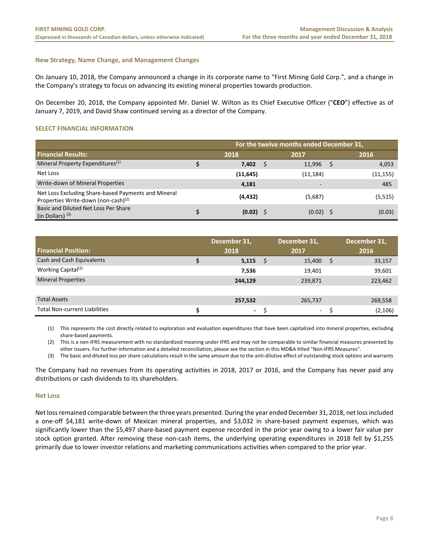#### **New Strategy, Name Change, and Management Changes**

On January 10, 2018, the Company announced a change in its corporate name to "First Mining Gold Corp.", and a change in the Company's strategy to focus on advancing its existing mineral properties towards production.

On December 20, 2018, the Company appointed Mr. Daniel W. Wilton as its Chief Executive Officer ("**CEO**") effective as of January 7, 2019, and David Shaw continued serving as a director of the Company.

#### **SELECT FINANCIAL INFORMATION**

|                                                                                               | For the twelve months ended December 31, |             |    |             |  |          |  |  |  |  |
|-----------------------------------------------------------------------------------------------|------------------------------------------|-------------|----|-------------|--|----------|--|--|--|--|
| <b>Financial Results:</b>                                                                     |                                          | 2018        |    | 2017        |  | 2016     |  |  |  |  |
| Mineral Property Expenditures <sup>(1)</sup>                                                  |                                          | 7,402       | .S | 11,996      |  | 4,053    |  |  |  |  |
| Net Loss                                                                                      |                                          | (11, 645)   |    | (11, 184)   |  | (11,155) |  |  |  |  |
| Write-down of Mineral Properties                                                              |                                          | 4,181       |    | -           |  | 485      |  |  |  |  |
| Net Loss Excluding Share-based Payments and Mineral<br>Properties Write-down (non-cash) $(2)$ |                                          | (4, 432)    |    | (5,687)     |  | (5, 515) |  |  |  |  |
| Basic and Diluted Net Loss Per Share<br>(in Dollars) $(3)$                                    |                                          | $(0.02)$ \$ |    | $(0.02)$ \$ |  | (0.03)   |  |  |  |  |

|                                      | December 31,   | December 31, |         | December 31, |          |
|--------------------------------------|----------------|--------------|---------|--------------|----------|
| <b>Financial Position:</b>           | 2018           |              | 2017    |              | 2016     |
| Cash and Cash Equivalents            | 5,115          | S            | 15,400  | -S           | 33,157   |
| Working Capital <sup>(2)</sup>       | 7,536          |              | 19,401  |              | 39,601   |
| <b>Mineral Properties</b>            | 244,129        |              | 239,871 |              | 223,462  |
|                                      |                |              |         |              |          |
| <b>Total Assets</b>                  | 257,532        |              | 265,737 |              | 269,558  |
| <b>Total Non-current Liabilities</b> | $\blacksquare$ |              | $\sim$  |              | (2, 106) |

(1) This represents the cost directly related to exploration and evaluation expenditures that have been capitalized into mineral properties, excluding share‐based payments.

(2) This is a non‐IFRS measurement with no standardized meaning under IFRS and may not be comparable to similar financial measures presented by other issuers. For further information and a detailed reconciliation, please see the section in this MD&A titled "Non‐IFRS Measures".

(3) The basic and diluted loss per share calculations result in the same amount due to the anti‐dilutive effect of outstanding stock options and warrants

The Company had no revenues from its operating activities in 2018, 2017 or 2016, and the Company has never paid any distributions or cash dividends to its shareholders.

#### **Net Loss**

Net loss remained comparable between the three years presented. During the year ended December 31, 2018, net loss included a one-off \$4,181 write-down of Mexican mineral properties, and \$3,032 in share-based payment expenses, which was significantly lower than the \$5,497 share‐based payment expense recorded in the prior year owing to a lower fair value per stock option granted. After removing these non-cash items, the underlying operating expenditures in 2018 fell by \$1,255 primarily due to lower investor relations and marketing communications activities when compared to the prior year.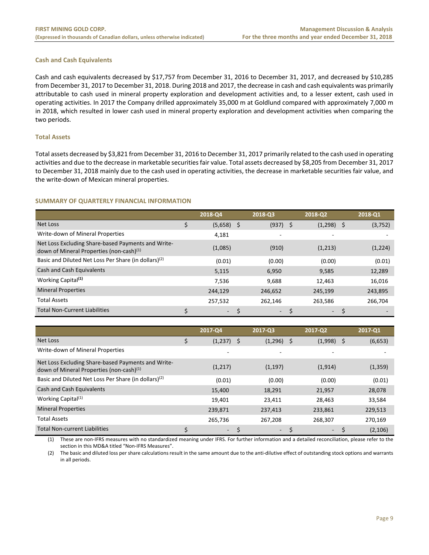#### **Cash and Cash Equivalents**

Cash and cash equivalents decreased by \$17,757 from December 31, 2016 to December 31, 2017, and decreased by \$10,285 from December 31, 2017 to December 31, 2018. During 2018 and 2017, the decrease in cash and cash equivalents was primarily attributable to cash used in mineral property exploration and development activities and, to a lesser extent, cash used in operating activities. In 2017 the Company drilled approximately 35,000 m at Goldlund compared with approximately 7,000 m in 2018, which resulted in lower cash used in mineral property exploration and development activities when comparing the two periods.

#### **Total Assets**

Total assets decreased by \$3,821 from December 31, 2016 to December 31, 2017 primarily related to the cash used in operating activities and due to the decrease in marketable securities fair value. Total assets decreased by \$8,205 from December 31, 2017 to December 31, 2018 mainly due to the cash used in operating activities, the decrease in marketable securities fair value, and the write‐down of Mexican mineral properties.

#### **SUMMARY OF QUARTERLY FINANCIAL INFORMATION**

|                                                                                                            | 2018-Q4 | 2018-03    |                          | 2018-Q2      | 2018-Q1                  |
|------------------------------------------------------------------------------------------------------------|---------|------------|--------------------------|--------------|--------------------------|
| Net Loss                                                                                                   | (5,658) | (937)<br>S | S                        | $(1,298)$ \$ | (3, 752)                 |
| Write-down of Mineral Properties                                                                           | 4,181   |            | $\overline{\phantom{0}}$ |              |                          |
| Net Loss Excluding Share-based Payments and Write-<br>down of Mineral Properties (non-cash) <sup>(1)</sup> | (1,085) | (910)      |                          | (1,213)      | (1,224)                  |
| Basic and Diluted Net Loss Per Share (in dollars) <sup>(2)</sup>                                           | (0.01)  | (0.00)     |                          | (0.00)       | (0.01)                   |
| Cash and Cash Equivalents                                                                                  | 5,115   | 6,950      |                          | 9,585        | 12,289                   |
| Working Capital <sup>(1)</sup>                                                                             | 7.536   | 9,688      |                          | 12,463       | 16,016                   |
| <b>Mineral Properties</b>                                                                                  | 244,129 | 246,652    |                          | 245,199      | 243,895                  |
| <b>Total Assets</b>                                                                                        | 257,532 | 262,146    |                          | 263,586      | 266,704                  |
| <b>Total Non-Current Liabilities</b>                                                                       | $\sim$  |            | $\sim$                   | $\sim$       | $\overline{\phantom{0}}$ |

|                                                                                                            | 2017-Q4                  | 2017-Q3      | 2017-02                  | 2017-Q1  |
|------------------------------------------------------------------------------------------------------------|--------------------------|--------------|--------------------------|----------|
| <b>Net Loss</b>                                                                                            | \$<br>$(1,237)$ \$       | $(1,296)$ \$ | $(1,998)$ \$             | (6,653)  |
| Write-down of Mineral Properties                                                                           |                          | ٠            |                          |          |
| Net Loss Excluding Share-based Payments and Write-<br>down of Mineral Properties (non-cash) <sup>(1)</sup> | (1,217)                  | (1, 197)     | (1, 914)                 | (1, 359) |
| Basic and Diluted Net Loss Per Share (in dollars) <sup>(2)</sup>                                           | (0.01)                   | (0.00)       | (0.00)                   | (0.01)   |
| Cash and Cash Equivalents                                                                                  | 15,400                   | 18,291       | 21,957                   | 28,078   |
| Working Capital <sup>(1)</sup>                                                                             | 19,401                   | 23,411       | 28,463                   | 33,584   |
| <b>Mineral Properties</b>                                                                                  | 239,871                  | 237,413      | 233,861                  | 229,513  |
| <b>Total Assets</b>                                                                                        | 265,736                  | 267,208      | 268,307                  | 270,169  |
| <b>Total Non-current Liabilities</b>                                                                       | $\overline{\phantom{a}}$ | $\sim$       | $\overline{\phantom{a}}$ | (2, 106) |

(1) These are non‐IFRS measures with no standardized meaning under IFRS. For further information and a detailed reconciliation, please refer to the section in this MD&A titled "Non‐IFRS Measures".

(2) The basic and diluted loss per share calculations result in the same amount due to the anti‐dilutive effect of outstanding stock options and warrants in all periods.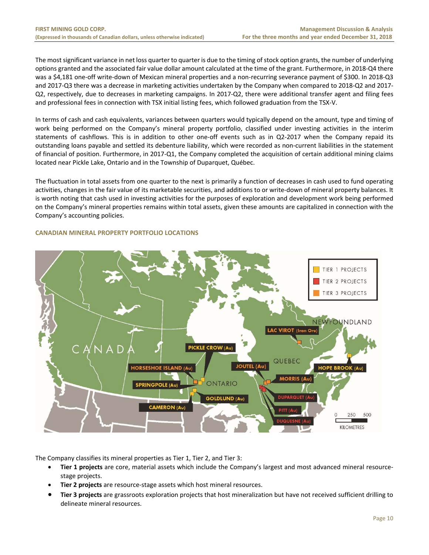The most significant variance in net loss quarter to quarter is due to the timing of stock option grants, the number of underlying options granted and the associated fair value dollar amount calculated at the time of the grant. Furthermore, in 2018‐Q4 there was a \$4,181 one-off write-down of Mexican mineral properties and a non-recurring severance payment of \$300. In 2018-Q3 and 2017‐Q3 there was a decrease in marketing activities undertaken by the Company when compared to 2018‐Q2 and 2017‐ Q2, respectively, due to decreases in marketing campaigns. In 2017‐Q2, there were additional transfer agent and filing fees and professional fees in connection with TSX initial listing fees, which followed graduation from the TSX‐V.

In terms of cash and cash equivalents, variances between quarters would typically depend on the amount, type and timing of work being performed on the Company's mineral property portfolio, classified under investing activities in the interim statements of cashflows. This is in addition to other one-off events such as in Q2-2017 when the Company repaid its outstanding loans payable and settled its debenture liability, which were recorded as non‐current liabilities in the statement of financial of position. Furthermore, in 2017‐Q1, the Company completed the acquisition of certain additional mining claims located near Pickle Lake, Ontario and in the Township of Duparquet, Québec.

The fluctuation in total assets from one quarter to the next is primarily a function of decreases in cash used to fund operating activities, changes in the fair value of its marketable securities, and additions to or write-down of mineral property balances. It is worth noting that cash used in investing activities for the purposes of exploration and development work being performed on the Company's mineral properties remains within total assets, given these amounts are capitalized in connection with the Company's accounting policies.

### TIER 1 PROJECTS TIER 2 PROJECTS TIER 3 PROJECTS NDLAND **LAC VIROT** (Iron O) PICKLE CROW (Au) QUEBEC **JOUTEL (Au) IORSESHOE ISLAND (Au HOPE BROOK (Au MORRIS (Au SPRINGPOLE (Au)** ONTARIO **GOLDLUND (Au) AMERON (Au** 250 500 **KILOMETRES**

#### **CANADIAN MINERAL PROPERTY PORTFOLIO LOCATIONS**

The Company classifies its mineral properties as Tier 1, Tier 2, and Tier 3:

- **Tier 1 projects** are core, material assets which include the Company's largest and most advanced mineral resource‐ stage projects.
- **Tier 2 projects** are resource‐stage assets which host mineral resources.
- **Tier 3 projects** are grassroots exploration projects that host mineralization but have not received sufficient drilling to delineate mineral resources.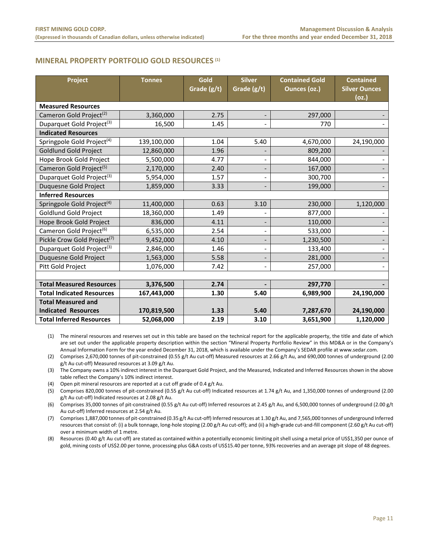#### **MINERAL PROPERTY PORTFOLIO GOLD RESOURCES (1)**

| Project                                 | <b>Tonnes</b> | Gold<br>Grade (g/t) | <b>Silver</b><br>Grade (g/t) | <b>Contained Gold</b><br>Ounces (oz.) | <b>Contained</b><br><b>Silver Ounces</b><br>(oz.) |
|-----------------------------------------|---------------|---------------------|------------------------------|---------------------------------------|---------------------------------------------------|
| <b>Measured Resources</b>               |               |                     |                              |                                       |                                                   |
| Cameron Gold Project <sup>(2)</sup>     | 3,360,000     | 2.75                | $\overline{\phantom{0}}$     | 297,000                               |                                                   |
| Duparquet Gold Project <sup>(3)</sup>   | 16,500        | 1.45                |                              | 770                                   |                                                   |
| <b>Indicated Resources</b>              |               |                     |                              |                                       |                                                   |
| Springpole Gold Project <sup>(4)</sup>  | 139,100,000   | 1.04                | 5.40                         | 4,670,000                             | 24,190,000                                        |
| <b>Goldlund Gold Project</b>            | 12,860,000    | 1.96                |                              | 809,200                               |                                                   |
| Hope Brook Gold Project                 | 5,500,000     | 4.77                |                              | 844,000                               |                                                   |
| Cameron Gold Project <sup>(5)</sup>     | 2,170,000     | 2.40                | -                            | 167,000                               |                                                   |
| Duparquet Gold Project <sup>(3)</sup>   | 5,954,000     | 1.57                |                              | 300,700                               |                                                   |
| <b>Duquesne Gold Project</b>            | 1,859,000     | 3.33                |                              | 199,000                               |                                                   |
| <b>Inferred Resources</b>               |               |                     |                              |                                       |                                                   |
| Springpole Gold Project <sup>(4)</sup>  | 11,400,000    | 0.63                | 3.10                         | 230,000                               | 1,120,000                                         |
| <b>Goldlund Gold Project</b>            | 18,360,000    | 1.49                |                              | 877,000                               |                                                   |
| Hope Brook Gold Project                 | 836,000       | 4.11                |                              | 110,000                               |                                                   |
| Cameron Gold Project <sup>(6)</sup>     | 6,535,000     | 2.54                | $\overline{\phantom{0}}$     | 533,000                               |                                                   |
| Pickle Crow Gold Project <sup>(7)</sup> | 9,452,000     | 4.10                |                              | 1,230,500                             |                                                   |
| Duparquet Gold Project <sup>(3)</sup>   | 2,846,000     | 1.46                |                              | 133,400                               |                                                   |
| Duquesne Gold Project                   | 1,563,000     | 5.58                | $\qquad \qquad \blacksquare$ | 281,000                               |                                                   |
| Pitt Gold Project                       | 1,076,000     | 7.42                | $\overline{a}$               | 257,000                               |                                                   |
|                                         |               |                     |                              |                                       |                                                   |
| <b>Total Measured Resources</b>         | 3,376,500     | 2.74                |                              | 297,770                               |                                                   |
| <b>Total Indicated Resources</b>        | 167,443,000   | 1.30                | 5.40                         | 6,989,900                             | 24,190,000                                        |
| <b>Total Measured and</b>               |               |                     |                              |                                       |                                                   |
| <b>Indicated Resources</b>              | 170,819,500   | 1.33                | 5.40                         | 7,287,670                             | 24,190,000                                        |
| <b>Total Inferred Resources</b>         | 52,068,000    | 2.19                | 3.10                         | 3,651,900                             | 1,120,000                                         |

(1) The mineral resources and reserves set out in this table are based on the technical report for the applicable property, the title and date of which are set out under the applicable property description within the section "Mineral Property Portfolio Review" in this MD&A or in the Company's Annual Information Form for the year ended December 31, 2018, which is available under the Company's SEDAR profile at www.sedar.com.

(2) Comprises 2,670,000 tonnes of pit‐constrained (0.55 g/t Au cut‐off) Measured resources at 2.66 g/t Au, and 690,000 tonnes of underground (2.00 g/t Au cut‐off) Measured resources at 3.09 g/t Au.

(3) The Company owns a 10% indirect interest in the Duparquet Gold Project, and the Measured, Indicated and Inferred Resources shown in the above table reflect the Company's 10% indirect interest.

(4) Open pit mineral resources are reported at a cut off grade of 0.4 g/t Au.

(5) Comprises 820,000 tonnes of pit‐constrained (0.55 g/t Au cut‐off) Indicated resources at 1.74 g/t Au, and 1,350,000 tonnes of underground (2.00 g/t Au cut‐off) Indicated resources at 2.08 g/t Au.

(6) Comprises 35,000 tonnes of pit‐constrained (0.55 g/t Au cut‐off) Inferred resources at 2.45 g/t Au, and 6,500,000 tonnes of underground (2.00 g/t Au cut‐off) Inferred resources at 2.54 g/t Au.

(7) Comprises 1,887,000 tonnes of pit‐constrained (0.35 g/t Au cut‐off) Inferred resources at 1.30 g/t Au, and 7,565,000 tonnes of underground Inferred resources that consist of: (i) a bulk tonnage, long-hole stoping (2.00 g/t Au cut-off); and (ii) a high-grade cut-and-fill component (2.60 g/t Au cut-off) over a minimum width of 1 metre.

(8) Resources (0.40 g/t Au cut‐off) are stated as contained within a potentially economic limiting pit shell using a metal price of US\$1,350 per ounce of gold, mining costs of US\$2.00 per tonne, processing plus G&A costs of US\$15.40 per tonne, 93% recoveries and an average pit slope of 48 degrees.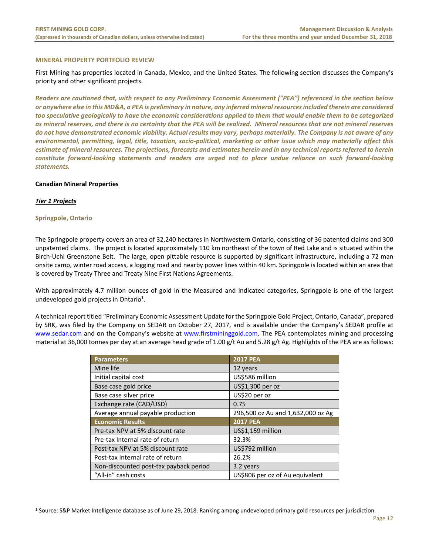#### **MINERAL PROPERTY PORTFOLIO REVIEW**

First Mining has properties located in Canada, Mexico, and the United States. The following section discusses the Company's priority and other significant projects.

*Readers are cautioned that, with respect to any Preliminary Economic Assessment ("PEA") referenced in the section below or anywhere else in this MD&A, a PEA is preliminary in nature, any inferred mineral resources included therein are considered too speculative geologically to have the economic considerations applied to them that would enable them to be categorized as mineral reserves, and there is no certainty that the PEA will be realized. Mineral resources that are not mineral reserves do not have demonstrated economic viability. Actual results may vary, perhaps materially. The Company is not aware of any environmental, permitting, legal, title, taxation, socio‐political, marketing or other issue which may materially affect this estimate of mineral resources. The projections, forecasts and estimates herein and in any technical reports referred to herein constitute forward‐looking statements and readers are urged not to place undue reliance on such forward‐looking statements.*

#### **Canadian Mineral Properties**

#### *Tier 1 Projects*

 $\overline{a}$ 

#### **Springpole, Ontario**

The Springpole property covers an area of 32,240 hectares in Northwestern Ontario, consisting of 36 patented claims and 300 unpatented claims. The project is located approximately 110 km northeast of the town of Red Lake and is situated within the Birch‐Uchi Greenstone Belt. The large, open pittable resource is supported by significant infrastructure, including a 72 man onsite camp, winter road access, a logging road and nearby power lines within 40 km. Springpole is located within an area that is covered by Treaty Three and Treaty Nine First Nations Agreements.

With approximately 4.7 million ounces of gold in the Measured and Indicated categories, Springpole is one of the largest undeveloped gold projects in Ontario<sup>1</sup>.

A technical report titled "Preliminary Economic Assessment Update for the Springpole Gold Project, Ontario, Canada", prepared by SRK, was filed by the Company on SEDAR on October 27, 2017, and is available under the Company's SEDAR profile at www.sedar.com and on the Company's website at www.firstmininggold.com. The PEA contemplates mining and processing material at 36,000 tonnes per day at an average head grade of 1.00 g/t Au and 5.28 g/t Ag. Highlights of the PEA are as follows:

| <b>Parameters</b>                      | <b>2017 PEA</b>                   |
|----------------------------------------|-----------------------------------|
| Mine life                              | 12 years                          |
| Initial capital cost                   | US\$586 million                   |
| Base case gold price                   | US\$1,300 per oz                  |
| Base case silver price                 | US\$20 per oz                     |
| Exchange rate (CAD/USD)                | 0.75                              |
| Average annual payable production      | 296,500 oz Au and 1,632,000 oz Ag |
| <b>Economic Results</b>                | <b>2017 PEA</b>                   |
| Pre-tax NPV at 5% discount rate        | US\$1,159 million                 |
| Pre-tax Internal rate of return        | 32.3%                             |
| Post-tax NPV at 5% discount rate       | US\$792 million                   |
| Post-tax Internal rate of return       | 26.2%                             |
| Non-discounted post-tax payback period | 3.2 years                         |
| "All-in" cash costs                    | US\$806 per oz of Au equivalent   |

<sup>1</sup> Source: S&P Market Intelligence database as of June 29, 2018. Ranking among undeveloped primary gold resources per jurisdiction.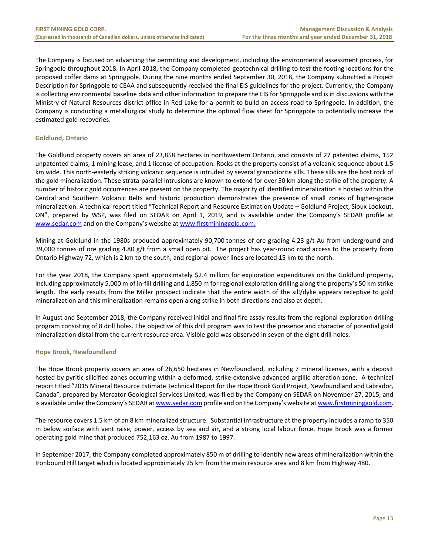The Company is focused on advancing the permitting and development, including the environmental assessment process, for Springpole throughout 2018. In April 2018, the Company completed geotechnical drilling to test the footing locations for the proposed coffer dams at Springpole. During the nine months ended September 30, 2018, the Company submitted a Project Description for Springpole to CEAA and subsequently received the final EIS guidelines for the project. Currently, the Company is collecting environmental baseline data and other information to prepare the EIS for Springpole and is in discussions with the Ministry of Natural Resources district office in Red Lake for a permit to build an access road to Springpole. In addition, the Company is conducting a metallurgical study to determine the optimal flow sheet for Springpole to potentially increase the estimated gold recoveries.

#### **Goldlund, Ontario**

The Goldlund property covers an area of 23,858 hectares in northwestern Ontario, and consists of 27 patented claims, 152 unpatented claims, 1 mining lease, and 1 license of occupation. Rocks at the property consist of a volcanic sequence about 1.5 km wide. This north-easterly striking volcanic sequence is intruded by several granodiorite sills. These sills are the host rock of the gold mineralization. These strata‐parallel intrusions are known to extend for over 50 km along the strike of the property. A number of historic gold occurrences are present on the property. The majority of identified mineralization is hosted within the Central and Southern Volcanic Belts and historic production demonstrates the presence of small zones of higher-grade mineralization. A technical report titled "Technical Report and Resource Estimation Update – Goldlund Project, Sioux Lookout, ON", prepared by WSP, was filed on SEDAR on April 1, 2019, and is available under the Company's SEDAR profile at www.sedar.com and on the Company's website at www.firstmininggold.com.

Mining at Goldlund in the 1980s produced approximately 90,700 tonnes of ore grading 4.23 g/t Au from underground and 39,000 tonnes of ore grading 4.80 g/t from a small open pit. The project has year-round road access to the property from Ontario Highway 72, which is 2 km to the south, and regional power lines are located 15 km to the north.

For the year 2018, the Company spent approximately \$2.4 million for exploration expenditures on the Goldlund property, including approximately 5,000 m of in‐fill drilling and 1,850 m for regional exploration drilling along the property's 50 km strike length. The early results from the Miller prospect indicate that the entire width of the sill/dyke appears receptive to gold mineralization and this mineralization remains open along strike in both directions and also at depth.

In August and September 2018, the Company received initial and final fire assay results from the regional exploration drilling program consisting of 8 drill holes. The objective of this drill program was to test the presence and character of potential gold mineralization distal from the current resource area. Visible gold was observed in seven of the eight drill holes.

#### **Hope Brook, Newfoundland**

The Hope Brook property covers an area of 26,650 hectares in Newfoundland, including 7 mineral licenses, with a deposit hosted by pyritic silicified zones occurring within a deformed, strike‐extensive advanced argillic alteration zone. A technical report titled "2015 Mineral Resource Estimate Technical Report for the Hope Brook Gold Project, Newfoundland and Labrador, Canada", prepared by Mercator Geological Services Limited, was filed by the Company on SEDAR on November 27, 2015, and is available under the Company's SEDAR at www.sedar.com profile and on the Company's website at www.firstmininggold.com.

The resource covers 1.5 km of an 8 km mineralized structure. Substantial infrastructure at the property includes a ramp to 350 m below surface with vent raise, power, access by sea and air, and a strong local labour force. Hope Brook was a former operating gold mine that produced 752,163 oz. Au from 1987 to 1997.

In September 2017, the Company completed approximately 850 m of drilling to identify new areas of mineralization within the Ironbound Hill target which is located approximately 25 km from the main resource area and 8 km from Highway 480.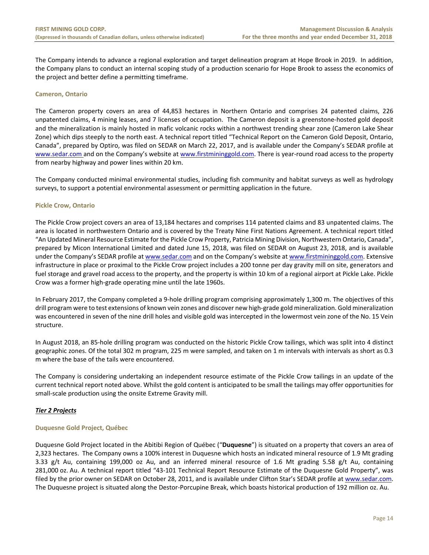The Company intends to advance a regional exploration and target delineation program at Hope Brook in 2019. In addition, the Company plans to conduct an internal scoping study of a production scenario for Hope Brook to assess the economics of the project and better define a permitting timeframe.

#### **Cameron, Ontario**

The Cameron property covers an area of 44,853 hectares in Northern Ontario and comprises 24 patented claims, 226 unpatented claims, 4 mining leases, and 7 licenses of occupation. The Cameron deposit is a greenstone‐hosted gold deposit and the mineralization is mainly hosted in mafic volcanic rocks within a northwest trending shear zone (Cameron Lake Shear Zone) which dips steeply to the north east. A technical report titled "Technical Report on the Cameron Gold Deposit, Ontario, Canada", prepared by Optiro, was filed on SEDAR on March 22, 2017, and is available under the Company's SEDAR profile at www.sedar.com and on the Company's website at www.firstmininggold.com. There is year-round road access to the property from nearby highway and power lines within 20 km.

The Company conducted minimal environmental studies, including fish community and habitat surveys as well as hydrology surveys, to support a potential environmental assessment or permitting application in the future.

#### **Pickle Crow, Ontario**

The Pickle Crow project covers an area of 13,184 hectares and comprises 114 patented claims and 83 unpatented claims. The area is located in northwestern Ontario and is covered by the Treaty Nine First Nations Agreement. A technical report titled "An Updated Mineral Resource Estimate for the Pickle Crow Property, Patricia Mining Division, Northwestern Ontario, Canada", prepared by Micon International Limited and dated June 15, 2018, was filed on SEDAR on August 23, 2018, and is available under the Company's SEDAR profile at www.sedar.com and on the Company's website at www.firstmininggold.com. Extensive infrastructure in place or proximal to the Pickle Crow project includes a 200 tonne per day gravity mill on site, generators and fuel storage and gravel road access to the property, and the property is within 10 km of a regional airport at Pickle Lake. Pickle Crow was a former high‐grade operating mine until the late 1960s.

In February 2017, the Company completed a 9-hole drilling program comprising approximately 1,300 m. The objectives of this drill program were to test extensions of known vein zones and discover new high‐grade gold mineralization. Gold mineralization was encountered in seven of the nine drill holes and visible gold was intercepted in the lowermost vein zone of the No. 15 Vein structure.

In August 2018, an 85‐hole drilling program was conducted on the historic Pickle Crow tailings, which was split into 4 distinct geographic zones. Of the total 302 m program, 225 m were sampled, and taken on 1 m intervals with intervals as short as 0.3 m where the base of the tails were encountered.

The Company is considering undertaking an independent resource estimate of the Pickle Crow tailings in an update of the current technical report noted above. Whilst the gold content is anticipated to be small the tailings may offer opportunities for small‐scale production using the onsite Extreme Gravity mill.

#### *Tier 2 Projects*

#### **Duquesne Gold Project, Québec**

Duquesne Gold Project located in the Abitibi Region of Québec ("**Duquesne**") is situated on a property that covers an area of 2,323 hectares. The Company owns a 100% interest in Duquesne which hosts an indicated mineral resource of 1.9 Mt grading 3.33  $g/t$  Au, containing 199,000 oz Au, and an inferred mineral resource of 1.6 Mt grading 5.58  $g/t$  Au, containing 281,000 oz. Au. A technical report titled "43‐101 Technical Report Resource Estimate of the Duquesne Gold Property", was filed by the prior owner on SEDAR on October 28, 2011, and is available under Clifton Star's SEDAR profile at www.sedar.com. The Duquesne project is situated along the Destor‐Porcupine Break, which boasts historical production of 192 million oz. Au.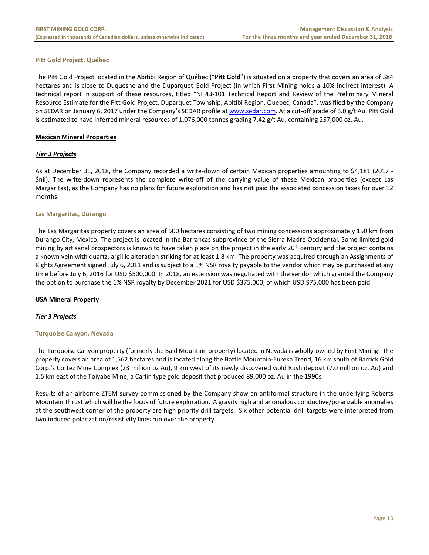#### **Pitt Gold Project, Québec**

The Pitt Gold Project located in the Abitibi Region of Québec ("**Pitt Gold**") is situated on a property that covers an area of 384 hectares and is close to Duquesne and the Duparquet Gold Project (in which First Mining holds a 10% indirect interest). A technical report in support of these resources, titled "NI 43-101 Technical Report and Review of the Preliminary Mineral Resource Estimate for the Pitt Gold Project, Duparquet Township, Abitibi Region, Quebec, Canada", was filed by the Company on SEDAR on January 6, 2017 under the Company's SEDAR profile at www.sedar.com. At a cut-off grade of 3.0 g/t Au, Pitt Gold is estimated to have inferred mineral resources of 1,076,000 tonnes grading 7.42 g/t Au, containing 257,000 oz. Au.

#### **Mexican Mineral Properties**

#### *Tier 3 Projects*

As at December 31, 2018, the Company recorded a write‐down of certain Mexican properties amounting to \$4,181 (2017 ‐ \$nil). The write‐down represents the complete write‐off of the carrying value of these Mexican properties (except Las Margaritas), as the Company has no plans for future exploration and has not paid the associated concession taxes for over 12 months.

#### **Las Margaritas, Durango**

The Las Margaritas property covers an area of 500 hectares consisting of two mining concessions approximately 150 km from Durango City, Mexico. The project is located in the Barrancas subprovince of the Sierra Madre Occidental. Some limited gold mining by artisanal prospectors is known to have taken place on the project in the early  $20<sup>th</sup>$  century and the project contains a known vein with quartz, argillic alteration striking for at least 1.8 km. The property was acquired through an Assignments of Rights Agreement signed July 6, 2011 and is subject to a 1% NSR royalty payable to the vendor which may be purchased at any time before July 6, 2016 for USD \$500,000. In 2018, an extension was negotiated with the vendor which granted the Company the option to purchase the 1% NSR royalty by December 2021 for USD \$375,000, of which USD \$75,000 has been paid.

#### **USA Mineral Property**

#### *Tier 3 Projects*

#### **Turquoise Canyon, Nevada**

The Turquoise Canyon property (formerly the Bald Mountain property) located in Nevada is wholly‐owned by First Mining. The property covers an area of 1,562 hectares and is located along the Battle Mountain‐Eureka Trend, 16 km south of Barrick Gold Corp.'s Cortez Mine Complex (23 million oz Au), 9 km west of its newly discovered Gold Rush deposit (7.0 million oz. Au) and 1.5 km east of the Toiyabe Mine, a Carlin type gold deposit that produced 89,000 oz. Au in the 1990s.

Results of an airborne ZTEM survey commissioned by the Company show an antiformal structure in the underlying Roberts Mountain Thrust which will be the focus of future exploration. A gravity high and anomalous conductive/polarizable anomalies at the southwest corner of the property are high priority drill targets. Six other potential drill targets were interpreted from two induced polarization/resistivity lines run over the property.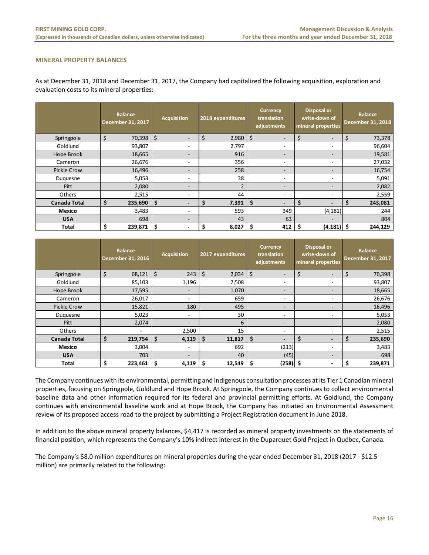#### **MINERAL PROPERTY BALANCES**

As at December 31, 2018 and December 31, 2017, the Company had capitalized the following acquisition, exploration and evaluation costs to its mineral properties:

|                     |    | <b>Balance</b><br>December 31, 2017 | <b>Acquisition</b>       |   | 2018 expenditures |    | <b>Currency</b><br>translation<br>adjustments |   | <b>Disposal or</b><br>write-down of<br>mineral properties | <b>Balance</b><br><b>December 31, 2018</b> |
|---------------------|----|-------------------------------------|--------------------------|---|-------------------|----|-----------------------------------------------|---|-----------------------------------------------------------|--------------------------------------------|
| Springpole          | \$ | 70,398                              | \$<br>-                  | Ś | 2,980             | \$ | $\overline{\phantom{a}}$                      |   | $\overline{\phantom{0}}$                                  | 73,378                                     |
| Goldlund            |    | 93,807                              | ٠                        |   | 2,797             |    |                                               |   | -                                                         | 96,604                                     |
| Hope Brook          |    | 18,665                              | $\overline{\phantom{a}}$ |   | 916               |    | $\overline{\phantom{a}}$                      |   | $\overline{\phantom{a}}$                                  | 19,581                                     |
| Cameron             |    | 26,676                              | $\overline{\phantom{a}}$ |   | 356               |    |                                               |   | -                                                         | 27,032                                     |
| Pickle Crow         |    | 16,496                              | $\overline{\phantom{a}}$ |   | 258               |    | $\overline{\phantom{a}}$                      |   | $\overline{\phantom{a}}$                                  | 16,754                                     |
| Duguesne            |    | 5,053                               | $\overline{\phantom{a}}$ |   | 38                |    |                                               |   | -                                                         | 5,091                                      |
| Pitt                |    | 2,080                               | $\overline{\phantom{a}}$ |   | $\mathfrak{p}$    |    | $\overline{\phantom{a}}$                      |   | $\overline{\phantom{a}}$                                  | 2,082                                      |
| Others              |    | 2,515                               | ٠                        |   | 44                |    | $\overline{\phantom{a}}$                      |   | ٠                                                         | 2,559                                      |
| <b>Canada Total</b> | \$ | 235,690                             | \$<br>$\blacksquare$     |   | 7,391             | \$ | $\overline{\phantom{a}}$                      |   | $\blacksquare$                                            | 243,081                                    |
| Mexico              |    | 3,483                               | $\sim$                   |   | 593               |    | 349                                           |   | (4, 181)                                                  | 244                                        |
| <b>USA</b>          |    | 698                                 | $\overline{\phantom{a}}$ |   | 43                |    | 63                                            |   | $\overline{\phantom{a}}$                                  | 804                                        |
| <b>Total</b>        | Ś  | 239,871                             | \$<br>٠                  |   | 8,027             | Ś  | 412                                           | Ś | $(4, 181)$ \$                                             | 244,129                                    |

|                     | <b>Balance</b><br><b>December 31, 2016</b> | <b>Acquisition</b>       | 2017 expenditures | <b>Currency</b><br>translation<br>adjustments | <b>Disposal or</b><br>write-down of<br>mineral properties | <b>Balance</b><br><b>December 31, 2017</b> |
|---------------------|--------------------------------------------|--------------------------|-------------------|-----------------------------------------------|-----------------------------------------------------------|--------------------------------------------|
| Springpole          | \$<br>68,121                               | \$<br>243                | \$<br>2,034       | \$<br>$\overline{\phantom{a}}$                | $\overline{\phantom{0}}$                                  | 70,398                                     |
| Goldlund            | 85,103                                     | 1,196                    | 7,508             | -                                             | $\qquad \qquad \blacksquare$                              | 93,807                                     |
| Hope Brook          | 17,595                                     | ٠                        | 1,070             | $\overline{\phantom{a}}$                      | -                                                         | 18,665                                     |
| Cameron             | 26,017                                     | $\overline{\phantom{a}}$ | 659               | ٠                                             | $\qquad \qquad \blacksquare$                              | 26,676                                     |
| <b>Pickle Crow</b>  | 15,821                                     | 180                      | 495               | $\overline{\phantom{a}}$                      | $\overline{\phantom{0}}$                                  | 16,496                                     |
| Duquesne            | 5,023                                      | $\sim$                   | 30                | $\overline{\phantom{a}}$                      | ۰                                                         | 5,053                                      |
| Pitt                | 2,074                                      | $\overline{\phantom{a}}$ | 6                 | $\overline{\phantom{a}}$                      | -                                                         | 2,080                                      |
| Others              | ٠                                          | 2,500                    | 15                | -                                             | ۰                                                         | 2,515                                      |
| <b>Canada Total</b> | \$<br>219,754                              | \$<br>4,119              | \$<br>11,817      | \$<br>$\overline{\phantom{a}}$                | -                                                         | 235,690                                    |
| Mexico              | 3,004                                      | $\sim$                   | 692               | (213)                                         | ۰.                                                        | 3,483                                      |
| <b>USA</b>          | 703                                        | $\overline{\phantom{a}}$ | 40                | (45)                                          | $\overline{\phantom{0}}$                                  | 698                                        |
| <b>Total</b>        | \$<br>223,461                              | \$<br>4,119              | \$<br>12,549      | \$<br>(258)                                   | \$<br>٠                                                   | 239,871                                    |

The Company continues with its environmental, permitting and Indigenous consultation processes at its Tier 1 Canadian mineral properties, focusing on Springpole, Goldlund and Hope Brook. At Springpole, the Company continues to collect environmental baseline data and other information required for its federal and provincial permitting efforts. At Goldlund, the Company continues with environmental baseline work and at Hope Brook, the Company has initiated an Environmental Assessment review of its proposed access road to the project by submitting a Project Registration document in June 2018.

In addition to the above mineral property balances, \$4,417 is recorded as mineral property investments on the statements of financial position, which represents the Company's 10% indirect interest in the Duparquet Gold Project in Québec, Canada.

The Company's \$8.0 million expenditures on mineral properties during the year ended December 31, 2018 (2017 ‐ \$12.5 million) are primarily related to the following: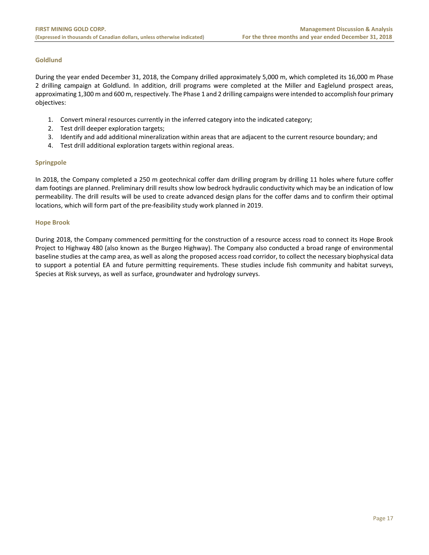#### **Goldlund**

During the year ended December 31, 2018, the Company drilled approximately 5,000 m, which completed its 16,000 m Phase 2 drilling campaign at Goldlund. In addition, drill programs were completed at the Miller and Eaglelund prospect areas, approximating 1,300 m and 600 m, respectively. The Phase 1 and 2 drilling campaigns were intended to accomplish four primary objectives:

- 1. Convert mineral resources currently in the inferred category into the indicated category;
- 2. Test drill deeper exploration targets;
- 3. Identify and add additional mineralization within areas that are adjacent to the current resource boundary; and
- 4. Test drill additional exploration targets within regional areas.

#### **Springpole**

In 2018, the Company completed a 250 m geotechnical coffer dam drilling program by drilling 11 holes where future coffer dam footings are planned. Preliminary drill results show low bedrock hydraulic conductivity which may be an indication of low permeability. The drill results will be used to create advanced design plans for the coffer dams and to confirm their optimal locations, which will form part of the pre‐feasibility study work planned in 2019.

#### **Hope Brook**

During 2018, the Company commenced permitting for the construction of a resource access road to connect its Hope Brook Project to Highway 480 (also known as the Burgeo Highway). The Company also conducted a broad range of environmental baseline studies at the camp area, as well as along the proposed access road corridor, to collect the necessary biophysical data to support a potential EA and future permitting requirements. These studies include fish community and habitat surveys, Species at Risk surveys, as well as surface, groundwater and hydrology surveys.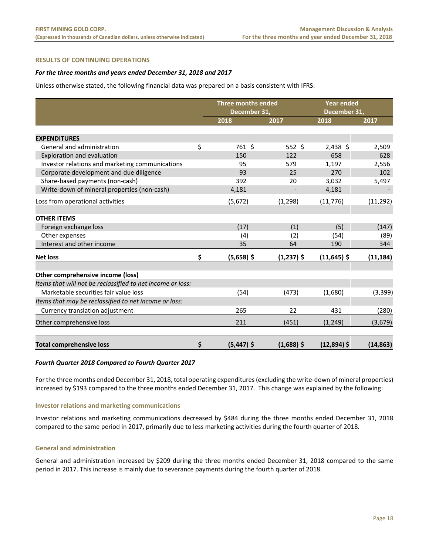#### **RESULTS OF CONTINUING OPERATIONS**

#### *For the three months and years ended December 31, 2018 and 2017*

Unless otherwise stated, the following financial data was prepared on a basis consistent with IFRS:

|                                                            | <b>Three months ended</b><br>December 31, |              | <b>Year ended</b><br>December 31, |           |
|------------------------------------------------------------|-------------------------------------------|--------------|-----------------------------------|-----------|
|                                                            | 2018                                      | 2017         | 2018                              | 2017      |
|                                                            |                                           |              |                                   |           |
| <b>EXPENDITURES</b>                                        |                                           |              |                                   |           |
| General and administration                                 | \$<br>761 \$                              | $552$ \$     | $2,438$ \$                        | 2,509     |
| Exploration and evaluation                                 | 150                                       | 122          | 658                               | 628       |
| Investor relations and marketing communications            | 95                                        | 579          | 1,197                             | 2,556     |
| Corporate development and due diligence                    | 93                                        | 25           | 270                               | 102       |
| Share-based payments (non-cash)                            | 392                                       | 20           | 3,032                             | 5,497     |
| Write-down of mineral properties (non-cash)                | 4,181                                     |              | 4,181                             |           |
| Loss from operational activities                           | (5,672)                                   | (1, 298)     | (11, 776)                         | (11, 292) |
| <b>OTHER ITEMS</b>                                         |                                           |              |                                   |           |
| Foreign exchange loss                                      | (17)                                      | (1)          | (5)                               | (147)     |
| Other expenses                                             | (4)                                       | (2)          | (54)                              | (89)      |
| Interest and other income                                  | 35                                        | 64           | 190                               | 344       |
| <b>Net loss</b>                                            | \$<br>$(5,658)$ \$                        | $(1,237)$ \$ | $(11,645)$ \$                     | (11, 184) |
| Other comprehensive income (loss)                          |                                           |              |                                   |           |
| Items that will not be reclassified to net income or loss: |                                           |              |                                   |           |
| Marketable securities fair value loss                      | (54)                                      | (473)        | (1,680)                           | (3, 399)  |
| Items that may be reclassified to net income or loss:      |                                           |              |                                   |           |
| Currency translation adjustment                            | 265                                       | 22           | 431                               | (280)     |
| Other comprehensive loss                                   | 211                                       | (451)        | (1, 249)                          | (3,679)   |
| <b>Total comprehensive loss</b>                            | \$<br>$(5,447)$ \$                        | $(1,688)$ \$ | $(12,894)$ \$                     | (14, 863) |

#### *Fourth Quarter 2018 Compared to Fourth Quarter 2017*

For the three months ended December 31, 2018, total operating expenditures (excluding the write-down of mineral properties) increased by \$193 compared to the three months ended December 31, 2017. This change was explained by the following:

#### **Investor relations and marketing communications**

Investor relations and marketing communications decreased by \$484 during the three months ended December 31, 2018 compared to the same period in 2017, primarily due to less marketing activities during the fourth quarter of 2018.

#### **General and administration**

General and administration increased by \$209 during the three months ended December 31, 2018 compared to the same period in 2017. This increase is mainly due to severance payments during the fourth quarter of 2018.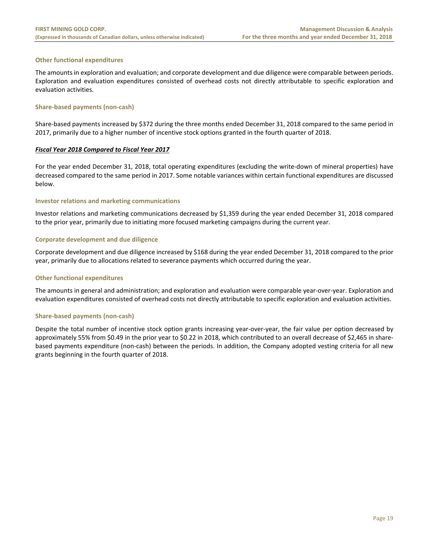#### **Other functional expenditures**

The amounts in exploration and evaluation; and corporate development and due diligence were comparable between periods. Exploration and evaluation expenditures consisted of overhead costs not directly attributable to specific exploration and evaluation activities.

#### **Share‐based payments (non‐cash)**

Share-based payments increased by \$372 during the three months ended December 31, 2018 compared to the same period in 2017, primarily due to a higher number of incentive stock options granted in the fourth quarter of 2018.

#### *Fiscal Year 2018 Compared to Fiscal Year 2017*

For the year ended December 31, 2018, total operating expenditures (excluding the write‐down of mineral properties) have decreased compared to the same period in 2017. Some notable variances within certain functional expenditures are discussed below.

#### **Investor relations and marketing communications**

Investor relations and marketing communications decreased by \$1,359 during the year ended December 31, 2018 compared to the prior year, primarily due to initiating more focused marketing campaigns during the current year.

#### **Corporate development and due diligence**

Corporate development and due diligence increased by \$168 during the year ended December 31, 2018 compared to the prior year, primarily due to allocations related to severance payments which occurred during the year.

#### **Other functional expenditures**

The amounts in general and administration; and exploration and evaluation were comparable year‐over‐year. Exploration and evaluation expenditures consisted of overhead costs not directly attributable to specific exploration and evaluation activities.

#### **Share‐based payments (non‐cash)**

Despite the total number of incentive stock option grants increasing year-over-year, the fair value per option decreased by approximately 55% from \$0.49 in the prior year to \$0.22 in 2018, which contributed to an overall decrease of \$2,465 in share‐ based payments expenditure (non‐cash) between the periods. In addition, the Company adopted vesting criteria for all new grants beginning in the fourth quarter of 2018.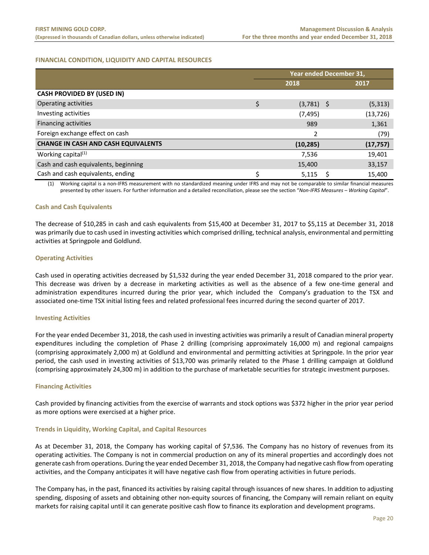#### **FINANCIAL CONDITION, LIQUIDITY AND CAPITAL RESOURCES**

|                                            | Year ended December 31, |              |  |           |  |
|--------------------------------------------|-------------------------|--------------|--|-----------|--|
|                                            |                         | 2018         |  | 2017      |  |
| <b>CASH PROVIDED BY (USED IN)</b>          |                         |              |  |           |  |
| Operating activities                       | \$                      | $(3,781)$ \$ |  | (5, 313)  |  |
| Investing activities                       |                         | (7, 495)     |  | (13, 726) |  |
| <b>Financing activities</b>                |                         | 989          |  | 1,361     |  |
| Foreign exchange effect on cash            |                         | 2            |  | (79)      |  |
| <b>CHANGE IN CASH AND CASH EQUIVALENTS</b> |                         | (10, 285)    |  | (17, 757) |  |
| Working capital <sup>(1)</sup>             |                         | 7,536        |  | 19,401    |  |
| Cash and cash equivalents, beginning       |                         | 15,400       |  | 33,157    |  |
| Cash and cash equivalents, ending          | Ś                       | 5,115        |  | 15,400    |  |

(1) Working capital is a non‐IFRS measurement with no standardized meaning under IFRS and may not be comparable to similar financial measures presented by other issuers. For further information and a detailed reconciliation, please see the section "*Non‐IFRS Measures – Working Capital*".

#### **Cash and Cash Equivalents**

The decrease of \$10,285 in cash and cash equivalents from \$15,400 at December 31, 2017 to \$5,115 at December 31, 2018 was primarily due to cash used in investing activities which comprised drilling, technical analysis, environmental and permitting activities at Springpole and Goldlund.

#### **Operating Activities**

Cash used in operating activities decreased by \$1,532 during the year ended December 31, 2018 compared to the prior year. This decrease was driven by a decrease in marketing activities as well as the absence of a few one-time general and administration expenditures incurred during the prior year, which included the Company's graduation to the TSX and associated one‐time TSX initial listing fees and related professional fees incurred during the second quarter of 2017.

#### **Investing Activities**

For the year ended December 31, 2018, the cash used in investing activities was primarily a result of Canadian mineral property expenditures including the completion of Phase 2 drilling (comprising approximately 16,000 m) and regional campaigns (comprising approximately 2,000 m) at Goldlund and environmental and permitting activities at Springpole. In the prior year period, the cash used in investing activities of \$13,700 was primarily related to the Phase 1 drilling campaign at Goldlund (comprising approximately 24,300 m) in addition to the purchase of marketable securities for strategic investment purposes.

#### **Financing Activities**

Cash provided by financing activities from the exercise of warrants and stock options was \$372 higher in the prior year period as more options were exercised at a higher price.

#### **Trends in Liquidity, Working Capital, and Capital Resources**

As at December 31, 2018, the Company has working capital of \$7,536. The Company has no history of revenues from its operating activities. The Company is not in commercial production on any of its mineral properties and accordingly does not generate cash from operations. During the year ended December 31, 2018, the Company had negative cash flow from operating activities, and the Company anticipates it will have negative cash flow from operating activities in future periods.

The Company has, in the past, financed its activities by raising capital through issuances of new shares. In addition to adjusting spending, disposing of assets and obtaining other non-equity sources of financing, the Company will remain reliant on equity markets for raising capital until it can generate positive cash flow to finance its exploration and development programs.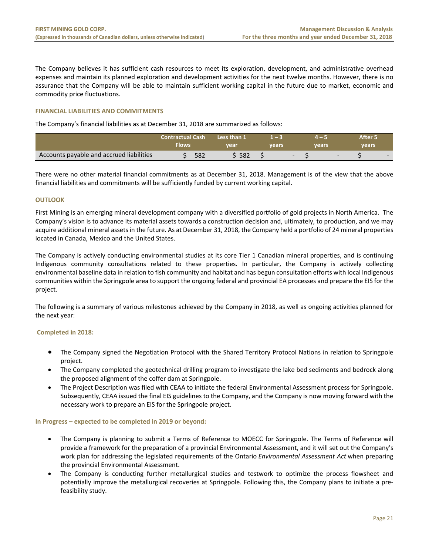The Company believes it has sufficient cash resources to meet its exploration, development, and administrative overhead expenses and maintain its planned exploration and development activities for the next twelve months. However, there is no assurance that the Company will be able to maintain sufficient working capital in the future due to market, economic and commodity price fluctuations.

#### **FINANCIAL LIABILITIES AND COMMITMENTS**

The Company's financial liabilities as at December 31, 2018 are summarized as follows:

|                                          | <b>Contractual Cash</b><br>Flows | Less than 1<br>vear | vears |  | vears                    | After 5<br>vears |  |
|------------------------------------------|----------------------------------|---------------------|-------|--|--------------------------|------------------|--|
| Accounts payable and accrued liabilities | 582                              | 582                 |       |  | $\overline{\phantom{a}}$ |                  |  |

There were no other material financial commitments as at December 31, 2018. Management is of the view that the above financial liabilities and commitments will be sufficiently funded by current working capital.

#### **OUTLOOK**

First Mining is an emerging mineral development company with a diversified portfolio of gold projects in North America. The Company's vision is to advance its material assets towards a construction decision and, ultimately, to production, and we may acquire additional mineral assets in the future. As at December 31, 2018, the Company held a portfolio of 24 mineral properties located in Canada, Mexico and the United States.

The Company is actively conducting environmental studies at its core Tier 1 Canadian mineral properties, and is continuing Indigenous community consultations related to these properties. In particular, the Company is actively collecting environmental baseline data in relation to fish community and habitat and has begun consultation efforts with local Indigenous communities within the Springpole area to support the ongoing federal and provincial EA processes and prepare the EIS for the project.

The following is a summary of various milestones achieved by the Company in 2018, as well as ongoing activities planned for the next year:

#### **Completed in 2018:**

- The Company signed the Negotiation Protocol with the Shared Territory Protocol Nations in relation to Springpole project.
- The Company completed the geotechnical drilling program to investigate the lake bed sediments and bedrock along the proposed alignment of the coffer dam at Springpole.
- The Project Description was filed with CEAA to initiate the federal Environmental Assessment process for Springpole. Subsequently, CEAA issued the final EIS guidelines to the Company, and the Company is now moving forward with the necessary work to prepare an EIS for the Springpole project.

#### **In Progress – expected to be completed in 2019 or beyond:**

- The Company is planning to submit a Terms of Reference to MOECC for Springpole. The Terms of Reference will provide a framework for the preparation of a provincial Environmental Assessment, and it will set out the Company's work plan for addressing the legislated requirements of the Ontario *Environmental Assessment Act* when preparing the provincial Environmental Assessment.
- The Company is conducting further metallurgical studies and testwork to optimize the process flowsheet and potentially improve the metallurgical recoveries at Springpole. Following this, the Company plans to initiate a pre‐ feasibility study.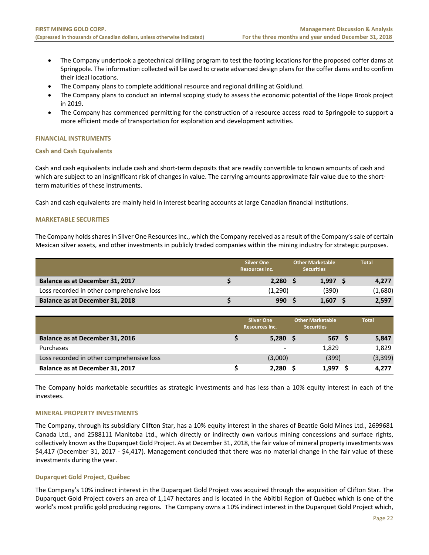- The Company undertook a geotechnical drilling program to test the footing locations for the proposed coffer dams at Springpole. The information collected will be used to create advanced design plans for the coffer dams and to confirm their ideal locations.
- The Company plans to complete additional resource and regional drilling at Goldlund.
- The Company plans to conduct an internal scoping study to assess the economic potential of the Hope Brook project in 2019.
- The Company has commenced permitting for the construction of a resource access road to Springpole to support a more efficient mode of transportation for exploration and development activities.

#### **FINANCIAL INSTRUMENTS**

#### **Cash and Cash Equivalents**

Cash and cash equivalents include cash and short‐term deposits that are readily convertible to known amounts of cash and which are subject to an insignificant risk of changes in value. The carrying amounts approximate fair value due to the shortterm maturities of these instruments.

Cash and cash equivalents are mainly held in interest bearing accounts at large Canadian financial institutions.

#### **MARKETABLE SECURITIES**

The Company holds shares in Silver One Resources Inc., which the Company received as a result of the Company's sale of certain Mexican silver assets, and other investments in publicly traded companies within the mining industry for strategic purposes.

|                                           | <b>Silver One</b><br><b>Resources Inc.</b> | <b>Other Marketable</b><br><b>Securities</b> | <b>Total</b> |
|-------------------------------------------|--------------------------------------------|----------------------------------------------|--------------|
| Balance as at December 31, 2017           | 2.280                                      | 1.997                                        | 4,277        |
| Loss recorded in other comprehensive loss | (1,290)                                    | (390)                                        | (1,680)      |
| Balance as at December 31, 2018           | 990                                        | 1.607                                        | 2,597        |

|                                           | <b>Silver One</b><br><b>Resources Inc.</b> | <b>Other Marketable</b><br><b>Securities</b> | <b>Total</b> |
|-------------------------------------------|--------------------------------------------|----------------------------------------------|--------------|
| Balance as at December 31, 2016           | $5,280$ \$                                 | 567 <sup>5</sup>                             | 5,847        |
| Purchases                                 | -                                          | 1,829                                        | 1,829        |
| Loss recorded in other comprehensive loss | (3,000)                                    | (399)                                        | (3, 399)     |
| Balance as at December 31, 2017           | 2,280                                      | 1.997                                        | 4,277        |

The Company holds marketable securities as strategic investments and has less than a 10% equity interest in each of the investees.

#### **MINERAL PROPERTY INVESTMENTS**

The Company, through its subsidiary Clifton Star, has a 10% equity interest in the shares of Beattie Gold Mines Ltd., 2699681 Canada Ltd., and 2588111 Manitoba Ltd., which directly or indirectly own various mining concessions and surface rights, collectively known as the Duparquet Gold Project. As at December 31, 2018, the fair value of mineral property investments was \$4,417 (December 31, 2017 ‐ \$4,417). Management concluded that there was no material change in the fair value of these investments during the year.

#### **Duparquet Gold Project, Québec**

The Company's 10% indirect interest in the Duparquet Gold Project was acquired through the acquisition of Clifton Star. The Duparquet Gold Project covers an area of 1,147 hectares and is located in the Abitibi Region of Québec which is one of the world's most prolific gold producing regions*.* The Company owns a 10% indirect interest in the Duparquet Gold Project which,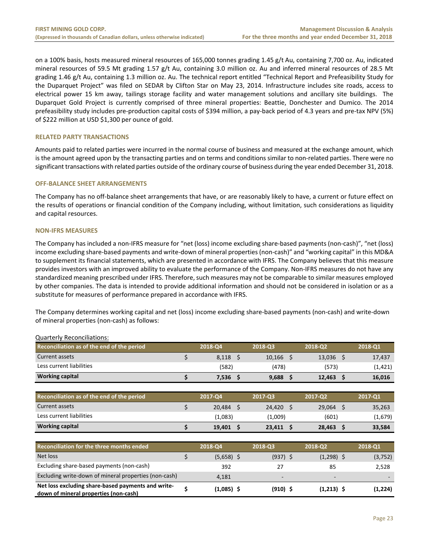on a 100% basis, hosts measured mineral resources of 165,000 tonnes grading 1.45 g/t Au, containing 7,700 oz. Au, indicated mineral resources of 59.5 Mt grading 1.57 g/t Au, containing 3.0 million oz. Au and inferred mineral resources of 28.5 Mt grading 1.46 g/t Au, containing 1.3 million oz. Au. The technical report entitled "Technical Report and Prefeasibility Study for the Duparquet Project" was filed on SEDAR by Clifton Star on May 23, 2014. Infrastructure includes site roads, access to electrical power 15 km away, tailings storage facility and water management solutions and ancillary site buildings. The Duparquet Gold Project is currently comprised of three mineral properties: Beattie, Donchester and Dumico. The 2014 prefeasibility study includes pre‐production capital costs of \$394 million, a pay‐back period of 4.3 years and pre‐tax NPV (5%) of \$222 million at USD \$1,300 per ounce of gold.

#### **RELATED PARTY TRANSACTIONS**

Amounts paid to related parties were incurred in the normal course of business and measured at the exchange amount, which is the amount agreed upon by the transacting parties and on terms and conditions similar to non-related parties. There were no significant transactions with related parties outside of the ordinary course of business during the year ended December 31, 2018.

#### **OFF‐BALANCE SHEET ARRANGEMENTS**

The Company has no off‐balance sheet arrangements that have, or are reasonably likely to have, a current or future effect on the results of operations or financial condition of the Company including, without limitation, such considerations as liquidity and capital resources.

#### **NON‐IFRS MEASURES**

The Company has included a non‐IFRS measure for "net (loss) income excluding share‐based payments (non‐cash)", "net (loss) income excluding share-based payments and write-down of mineral properties (non-cash)" and "working capital" in this MD&A to supplement its financial statements, which are presented in accordance with IFRS. The Company believes that this measure provides investors with an improved ability to evaluate the performance of the Company. Non‐IFRS measures do not have any standardized meaning prescribed under IFRS. Therefore, such measures may not be comparable to similar measures employed by other companies. The data is intended to provide additional information and should not be considered in isolation or as a substitute for measures of performance prepared in accordance with IFRS.

The Company determines working capital and net (loss) income excluding share‐based payments (non‐cash) and write‐down of mineral properties (non‐cash) as follows:

| Reconciliation as of the end of the period                                                  |    | 2018-Q4      | 2018-Q3     |    | 2018-Q2      | 2018-Q1  |
|---------------------------------------------------------------------------------------------|----|--------------|-------------|----|--------------|----------|
| Current assets                                                                              | \$ | $8,118$ \$   | $10,166$ \$ |    | $13,036$ \$  | 17,437   |
| Less current liabilities                                                                    |    | (582)        | (478)       |    | (573)        | (1, 421) |
| <b>Working capital</b>                                                                      | Ś  | $7,536$ \$   | $9,688$ \$  |    | $12,463$ \$  | 16,016   |
|                                                                                             |    |              |             |    |              |          |
| Reconciliation as of the end of the period                                                  |    | 2017-Q4      | 2017-Q3     |    | 2017-Q2      | 2017-Q1  |
| Current assets                                                                              | \$ | 20,484 \$    | 24,420      | .S | $29,064$ \$  | 35,263   |
| Less current liabilities                                                                    |    | (1,083)      | (1,009)     |    | (601)        | (1,679)  |
| <b>Working capital</b>                                                                      | Ś. | $19,401$ \$  | $23,411$ \$ |    | $28,463$ \$  | 33,584   |
|                                                                                             |    |              |             |    |              |          |
| Reconciliation for the three months ended                                                   |    | 2018-Q4      | 2018-Q3     |    | 2018-Q2      | 2018-Q1  |
| Net loss                                                                                    | Ś. | $(5,658)$ \$ | $(937)$ \$  |    | $(1,298)$ \$ | (3, 752) |
| Excluding share-based payments (non-cash)                                                   |    | 392          | 27          |    | 85           | 2,528    |
| Excluding write-down of mineral properties (non-cash)                                       |    | 4,181        |             |    |              |          |
| Net loss excluding share-based payments and write-<br>down of mineral properties (non-cash) |    | $(1,085)$ \$ | $(910)$ \$  |    | $(1,213)$ \$ | (1,224)  |

#### Quarterly Reconciliations: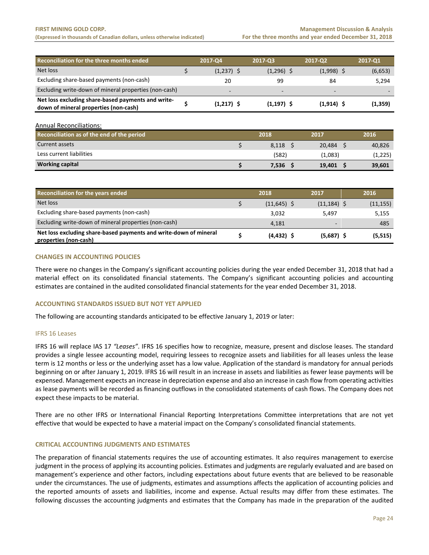**(Expressed in thousands of Canadian dollars, unless otherwise indicated) For the three months and year ended December 31, 2018**

| Reconciliation for the three months ended                                                   | 2017-04                  | 2017-03                  | 2017-02                  | 2017-Q1  |
|---------------------------------------------------------------------------------------------|--------------------------|--------------------------|--------------------------|----------|
| Net loss                                                                                    | $(1,237)$ \$             | $(1,296)$ \$             | $(1,998)$ \$             | (6,653)  |
| Excluding share-based payments (non-cash)                                                   | 20                       | 99                       | 84                       | 5,294    |
| Excluding write-down of mineral properties (non-cash)                                       | $\overline{\phantom{a}}$ | $\overline{\phantom{a}}$ | $\overline{\phantom{a}}$ |          |
| Net loss excluding share-based payments and write-<br>down of mineral properties (non-cash) | $(1,217)$ \$             | $(1,197)$ \$             | $(1,914)$ \$             | (1, 359) |

Annual Reconciliations:

| Reconciliation as of the end of the period | 2018  | 2017    | 2016    |
|--------------------------------------------|-------|---------|---------|
| Current assets                             | 8.118 | 20.484  | 40,826  |
| Less current liabilities                   | (582) | (1,083) | (1,225) |
| <b>Working capital</b>                     | 7,536 | 19.401  | 39,601  |

| Reconciliation for the years ended                                                         | 2018          | 2017                     | 2016      |
|--------------------------------------------------------------------------------------------|---------------|--------------------------|-----------|
| Net loss                                                                                   | $(11,645)$ \$ | $(11, 184)$ \$           | (11, 155) |
| Excluding share-based payments (non-cash)                                                  | 3,032         | 5.497                    | 5,155     |
| Excluding write-down of mineral properties (non-cash)                                      | 4.181         | $\overline{\phantom{0}}$ | 485       |
| Net loss excluding share-based payments and write-down of mineral<br>properties (non-cash) | $(4, 432)$ \$ | $(5,687)$ \$             | (5, 515)  |

#### **CHANGES IN ACCOUNTING POLICIES**

There were no changes in the Company's significant accounting policies during the year ended December 31, 2018 that had a material effect on its consolidated financial statements. The Company's significant accounting policies and accounting estimates are contained in the audited consolidated financial statements for the year ended December 31, 2018.

#### **ACCOUNTING STANDARDS ISSUED BUT NOT YET APPLIED**

The following are accounting standards anticipated to be effective January 1, 2019 or later:

#### IFRS 16 Leases

IFRS 16 will replace IAS 17 *"Leases"*. IFRS 16 specifies how to recognize, measure, present and disclose leases. The standard provides a single lessee accounting model, requiring lessees to recognize assets and liabilities for all leases unless the lease term is 12 months or less or the underlying asset has a low value. Application of the standard is mandatory for annual periods beginning on or after January 1, 2019. IFRS 16 will result in an increase in assets and liabilities as fewer lease payments will be expensed. Management expects an increase in depreciation expense and also an increase in cash flow from operating activities as lease payments will be recorded as financing outflows in the consolidated statements of cash flows. The Company does not expect these impacts to be material.

There are no other IFRS or International Financial Reporting Interpretations Committee interpretations that are not yet effective that would be expected to have a material impact on the Company's consolidated financial statements.

#### **CRITICAL ACCOUNTING JUDGMENTS AND ESTIMATES**

The preparation of financial statements requires the use of accounting estimates. It also requires management to exercise judgment in the process of applying its accounting policies. Estimates and judgments are regularly evaluated and are based on management's experience and other factors, including expectations about future events that are believed to be reasonable under the circumstances. The use of judgments, estimates and assumptions affects the application of accounting policies and the reported amounts of assets and liabilities, income and expense. Actual results may differ from these estimates. The following discusses the accounting judgments and estimates that the Company has made in the preparation of the audited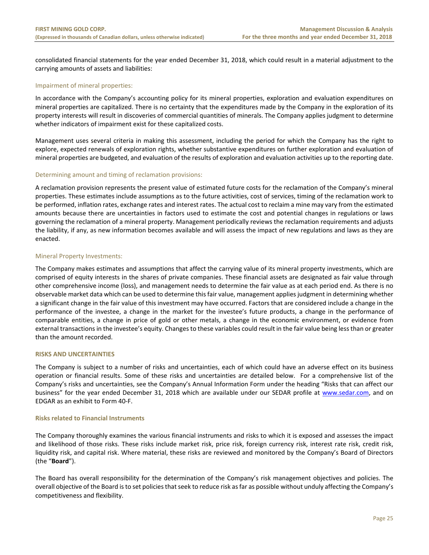consolidated financial statements for the year ended December 31, 2018, which could result in a material adjustment to the carrying amounts of assets and liabilities:

#### Impairment of mineral properties:

In accordance with the Company's accounting policy for its mineral properties, exploration and evaluation expenditures on mineral properties are capitalized. There is no certainty that the expenditures made by the Company in the exploration of its property interests will result in discoveries of commercial quantities of minerals. The Company applies judgment to determine whether indicators of impairment exist for these capitalized costs.

Management uses several criteria in making this assessment, including the period for which the Company has the right to explore, expected renewals of exploration rights, whether substantive expenditures on further exploration and evaluation of mineral properties are budgeted, and evaluation of the results of exploration and evaluation activities up to the reporting date.

#### Determining amount and timing of reclamation provisions:

A reclamation provision represents the present value of estimated future costs for the reclamation of the Company's mineral properties. These estimates include assumptions as to the future activities, cost of services, timing of the reclamation work to be performed, inflation rates, exchange rates and interest rates. The actual cost to reclaim a mine may vary from the estimated amounts because there are uncertainties in factors used to estimate the cost and potential changes in regulations or laws governing the reclamation of a mineral property. Management periodically reviews the reclamation requirements and adjusts the liability, if any, as new information becomes available and will assess the impact of new regulations and laws as they are enacted.

#### Mineral Property Investments:

The Company makes estimates and assumptions that affect the carrying value of its mineral property investments, which are comprised of equity interests in the shares of private companies. These financial assets are designated as fair value through other comprehensive income (loss), and management needs to determine the fair value as at each period end. As there is no observable market data which can be used to determine this fair value, management applies judgment in determining whether a significant change in the fair value of this investment may have occurred. Factors that are considered include a change in the performance of the investee, a change in the market for the investee's future products, a change in the performance of comparable entities, a change in price of gold or other metals, a change in the economic environment, or evidence from external transactions in the investee's equity. Changes to these variables could result in the fair value being less than or greater than the amount recorded.

#### **RISKS AND UNCERTAINTIES**

The Company is subject to a number of risks and uncertainties, each of which could have an adverse effect on its business operation or financial results. Some of these risks and uncertainties are detailed below. For a comprehensive list of the Company's risks and uncertainties, see the Company's Annual Information Form under the heading "Risks that can affect our business" for the year ended December 31, 2018 which are available under our SEDAR profile at www.sedar.com, and on EDGAR as an exhibit to Form 40‐F.

#### **Risks related to Financial Instruments**

The Company thoroughly examines the various financial instruments and risks to which it is exposed and assesses the impact and likelihood of those risks. These risks include market risk, price risk, foreign currency risk, interest rate risk, credit risk, liquidity risk, and capital risk. Where material, these risks are reviewed and monitored by the Company's Board of Directors (the "**Board**").

The Board has overall responsibility for the determination of the Company's risk management objectives and policies. The overall objective of the Board is to set policies that seek to reduce risk as far as possible without unduly affecting the Company's competitiveness and flexibility.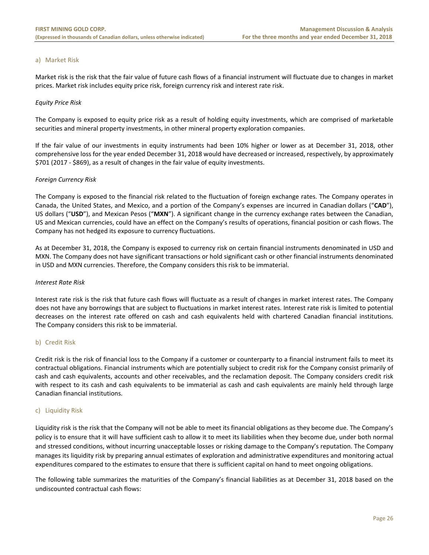#### a) Market Risk

Market risk is the risk that the fair value of future cash flows of a financial instrument will fluctuate due to changes in market prices. Market risk includes equity price risk, foreign currency risk and interest rate risk.

#### *Equity Price Risk*

The Company is exposed to equity price risk as a result of holding equity investments, which are comprised of marketable securities and mineral property investments, in other mineral property exploration companies.

If the fair value of our investments in equity instruments had been 10% higher or lower as at December 31, 2018, other comprehensive loss for the year ended December 31, 2018 would have decreased or increased, respectively, by approximately \$701 (2017 ‐ \$869), as a result of changes in the fair value of equity investments.

#### *Foreign Currency Risk*

The Company is exposed to the financial risk related to the fluctuation of foreign exchange rates. The Company operates in Canada, the United States, and Mexico, and a portion of the Company's expenses are incurred in Canadian dollars ("**CAD**"), US dollars ("**USD**"), and Mexican Pesos ("**MXN**"). A significant change in the currency exchange rates between the Canadian, US and Mexican currencies, could have an effect on the Company's results of operations, financial position or cash flows. The Company has not hedged its exposure to currency fluctuations.

As at December 31, 2018, the Company is exposed to currency risk on certain financial instruments denominated in USD and MXN. The Company does not have significant transactions or hold significant cash or other financial instruments denominated in USD and MXN currencies. Therefore, the Company considers this risk to be immaterial.

#### *Interest Rate Risk*

Interest rate risk is the risk that future cash flows will fluctuate as a result of changes in market interest rates. The Company does not have any borrowings that are subject to fluctuations in market interest rates. Interest rate risk is limited to potential decreases on the interest rate offered on cash and cash equivalents held with chartered Canadian financial institutions. The Company considers this risk to be immaterial.

#### b) Credit Risk

Credit risk is the risk of financial loss to the Company if a customer or counterparty to a financial instrument fails to meet its contractual obligations. Financial instruments which are potentially subject to credit risk for the Company consist primarily of cash and cash equivalents, accounts and other receivables, and the reclamation deposit. The Company considers credit risk with respect to its cash and cash equivalents to be immaterial as cash and cash equivalents are mainly held through large Canadian financial institutions.

#### c) Liquidity Risk

Liquidity risk is the risk that the Company will not be able to meet its financial obligations as they become due. The Company's policy is to ensure that it will have sufficient cash to allow it to meet its liabilities when they become due, under both normal and stressed conditions, without incurring unacceptable losses or risking damage to the Company's reputation. The Company manages its liquidity risk by preparing annual estimates of exploration and administrative expenditures and monitoring actual expenditures compared to the estimates to ensure that there is sufficient capital on hand to meet ongoing obligations.

The following table summarizes the maturities of the Company's financial liabilities as at December 31, 2018 based on the undiscounted contractual cash flows: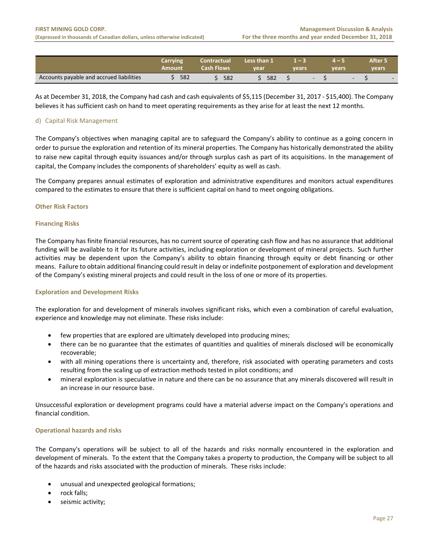|                                          | Carrying<br>Amount | <b>Contractual</b><br>Cash Flows | Less than 1<br>vear | u – I<br>vears | years  |                          | After 5<br>vears |  |
|------------------------------------------|--------------------|----------------------------------|---------------------|----------------|--------|--------------------------|------------------|--|
| Accounts payable and accrued liabilities | 582                | 582                              | 582                 |                | $\sim$ | $\overline{\phantom{a}}$ | $\sim$           |  |

As at December 31, 2018, the Company had cash and cash equivalents of \$5,115 (December 31, 2017 ‐ \$15,400). The Company believes it has sufficient cash on hand to meet operating requirements as they arise for at least the next 12 months.

#### d) Capital Risk Management

The Company's objectives when managing capital are to safeguard the Company's ability to continue as a going concern in order to pursue the exploration and retention of its mineral properties. The Company has historically demonstrated the ability to raise new capital through equity issuances and/or through surplus cash as part of its acquisitions. In the management of capital, the Company includes the components of shareholders' equity as well as cash.

The Company prepares annual estimates of exploration and administrative expenditures and monitors actual expenditures compared to the estimates to ensure that there is sufficient capital on hand to meet ongoing obligations.

#### **Other Risk Factors**

#### **Financing Risks**

The Company has finite financial resources, has no current source of operating cash flow and has no assurance that additional funding will be available to it for its future activities, including exploration or development of mineral projects. Such further activities may be dependent upon the Company's ability to obtain financing through equity or debt financing or other means. Failure to obtain additional financing could result in delay or indefinite postponement of exploration and development of the Company's existing mineral projects and could result in the loss of one or more of its properties.

#### **Exploration and Development Risks**

The exploration for and development of minerals involves significant risks, which even a combination of careful evaluation, experience and knowledge may not eliminate. These risks include:

- few properties that are explored are ultimately developed into producing mines;
- there can be no guarantee that the estimates of quantities and qualities of minerals disclosed will be economically recoverable;
- with all mining operations there is uncertainty and, therefore, risk associated with operating parameters and costs resulting from the scaling up of extraction methods tested in pilot conditions; and
- mineral exploration is speculative in nature and there can be no assurance that any minerals discovered will result in an increase in our resource base.

Unsuccessful exploration or development programs could have a material adverse impact on the Company's operations and financial condition.

#### **Operational hazards and risks**

The Company's operations will be subject to all of the hazards and risks normally encountered in the exploration and development of minerals. To the extent that the Company takes a property to production, the Company will be subject to all of the hazards and risks associated with the production of minerals. These risks include:

- unusual and unexpected geological formations;
- rock falls;
- seismic activity;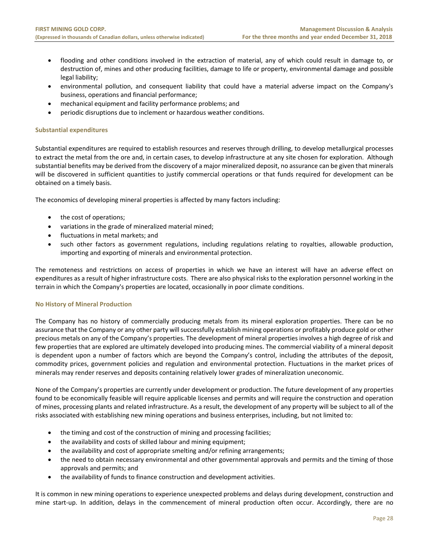- flooding and other conditions involved in the extraction of material, any of which could result in damage to, or destruction of, mines and other producing facilities, damage to life or property, environmental damage and possible legal liability;
- environmental pollution, and consequent liability that could have a material adverse impact on the Company's business, operations and financial performance;
- mechanical equipment and facility performance problems; and
- periodic disruptions due to inclement or hazardous weather conditions.

#### **Substantial expenditures**

Substantial expenditures are required to establish resources and reserves through drilling, to develop metallurgical processes to extract the metal from the ore and, in certain cases, to develop infrastructure at any site chosen for exploration. Although substantial benefits may be derived from the discovery of a major mineralized deposit, no assurance can be given that minerals will be discovered in sufficient quantities to justify commercial operations or that funds required for development can be obtained on a timely basis.

The economics of developing mineral properties is affected by many factors including:

- the cost of operations;
- variations in the grade of mineralized material mined;
- fluctuations in metal markets; and
- such other factors as government regulations, including regulations relating to royalties, allowable production, importing and exporting of minerals and environmental protection.

The remoteness and restrictions on access of properties in which we have an interest will have an adverse effect on expenditures as a result of higher infrastructure costs. There are also physical risks to the exploration personnel working in the terrain in which the Company's properties are located, occasionally in poor climate conditions.

#### **No History of Mineral Production**

The Company has no history of commercially producing metals from its mineral exploration properties. There can be no assurance that the Company or any other party will successfully establish mining operations or profitably produce gold or other precious metals on any of the Company's properties. The development of mineral properties involves a high degree of risk and few properties that are explored are ultimately developed into producing mines. The commercial viability of a mineral deposit is dependent upon a number of factors which are beyond the Company's control, including the attributes of the deposit, commodity prices, government policies and regulation and environmental protection. Fluctuations in the market prices of minerals may render reserves and deposits containing relatively lower grades of mineralization uneconomic.

None of the Company's properties are currently under development or production. The future development of any properties found to be economically feasible will require applicable licenses and permits and will require the construction and operation of mines, processing plants and related infrastructure. As a result, the development of any property will be subject to all of the risks associated with establishing new mining operations and business enterprises, including, but not limited to:

- the timing and cost of the construction of mining and processing facilities;
- the availability and costs of skilled labour and mining equipment;
- the availability and cost of appropriate smelting and/or refining arrangements;
- the need to obtain necessary environmental and other governmental approvals and permits and the timing of those approvals and permits; and
- the availability of funds to finance construction and development activities.

It is common in new mining operations to experience unexpected problems and delays during development, construction and mine start-up. In addition, delays in the commencement of mineral production often occur. Accordingly, there are no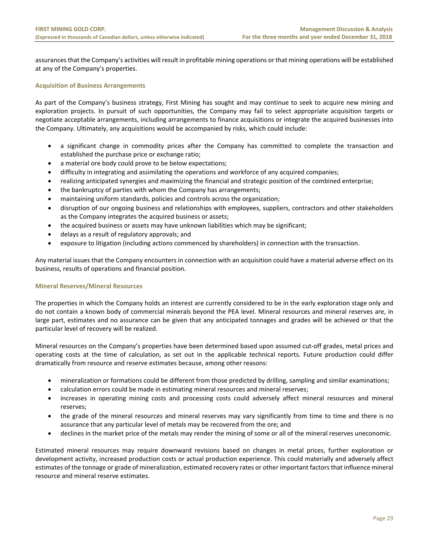assurances that the Company's activities will result in profitable mining operations or that mining operations will be established at any of the Company's properties.

#### **Acquisition of Business Arrangements**

As part of the Company's business strategy, First Mining has sought and may continue to seek to acquire new mining and exploration projects. In pursuit of such opportunities, the Company may fail to select appropriate acquisition targets or negotiate acceptable arrangements, including arrangements to finance acquisitions or integrate the acquired businesses into the Company. Ultimately, any acquisitions would be accompanied by risks, which could include:

- a significant change in commodity prices after the Company has committed to complete the transaction and established the purchase price or exchange ratio;
- a material ore body could prove to be below expectations;
- difficulty in integrating and assimilating the operations and workforce of any acquired companies;
- realizing anticipated synergies and maximizing the financial and strategic position of the combined enterprise;
- the bankruptcy of parties with whom the Company has arrangements;
- maintaining uniform standards, policies and controls across the organization;
- disruption of our ongoing business and relationships with employees, suppliers, contractors and other stakeholders as the Company integrates the acquired business or assets;
- the acquired business or assets may have unknown liabilities which may be significant;
- delays as a result of regulatory approvals; and
- exposure to litigation (including actions commenced by shareholders) in connection with the transaction.

Any material issues that the Company encounters in connection with an acquisition could have a material adverse effect on its business, results of operations and financial position.

#### **Mineral Reserves/Mineral Resources**

The properties in which the Company holds an interest are currently considered to be in the early exploration stage only and do not contain a known body of commercial minerals beyond the PEA level. Mineral resources and mineral reserves are, in large part, estimates and no assurance can be given that any anticipated tonnages and grades will be achieved or that the particular level of recovery will be realized.

Mineral resources on the Company's properties have been determined based upon assumed cut‐off grades, metal prices and operating costs at the time of calculation, as set out in the applicable technical reports. Future production could differ dramatically from resource and reserve estimates because, among other reasons:

- mineralization or formations could be different from those predicted by drilling, sampling and similar examinations;
- calculation errors could be made in estimating mineral resources and mineral reserves;
- increases in operating mining costs and processing costs could adversely affect mineral resources and mineral reserves;
- the grade of the mineral resources and mineral reserves may vary significantly from time to time and there is no assurance that any particular level of metals may be recovered from the ore; and
- declines in the market price of the metals may render the mining of some or all of the mineral reserves uneconomic.

Estimated mineral resources may require downward revisions based on changes in metal prices, further exploration or development activity, increased production costs or actual production experience. This could materially and adversely affect estimates of the tonnage or grade of mineralization, estimated recovery rates or other important factors that influence mineral resource and mineral reserve estimates.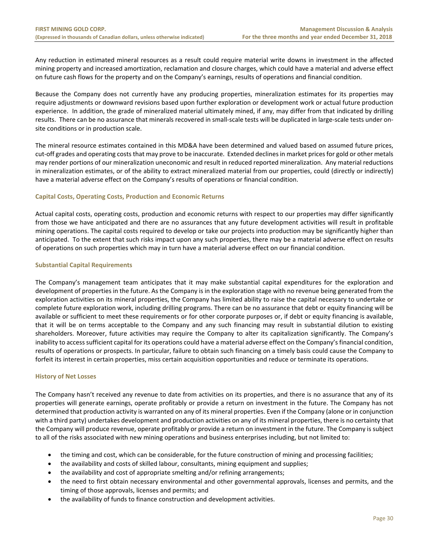Any reduction in estimated mineral resources as a result could require material write downs in investment in the affected mining property and increased amortization, reclamation and closure charges, which could have a material and adverse effect on future cash flows for the property and on the Company's earnings, results of operations and financial condition.

Because the Company does not currently have any producing properties, mineralization estimates for its properties may require adjustments or downward revisions based upon further exploration or development work or actual future production experience. In addition, the grade of mineralized material ultimately mined, if any, may differ from that indicated by drilling results. There can be no assurance that minerals recovered in small-scale tests will be duplicated in large-scale tests under onsite conditions or in production scale.

The mineral resource estimates contained in this MD&A have been determined and valued based on assumed future prices, cut‐off grades and operating costs that may prove to be inaccurate. Extended declines in market prices for gold or other metals may render portions of our mineralization uneconomic and result in reduced reported mineralization. Any material reductions in mineralization estimates, or of the ability to extract mineralized material from our properties, could (directly or indirectly) have a material adverse effect on the Company's results of operations or financial condition.

#### **Capital Costs, Operating Costs, Production and Economic Returns**

Actual capital costs, operating costs, production and economic returns with respect to our properties may differ significantly from those we have anticipated and there are no assurances that any future development activities will result in profitable mining operations. The capital costs required to develop or take our projects into production may be significantly higher than anticipated. To the extent that such risks impact upon any such properties, there may be a material adverse effect on results of operations on such properties which may in turn have a material adverse effect on our financial condition.

#### **Substantial Capital Requirements**

The Company's management team anticipates that it may make substantial capital expenditures for the exploration and development of properties in the future. As the Company is in the exploration stage with no revenue being generated from the exploration activities on its mineral properties, the Company has limited ability to raise the capital necessary to undertake or complete future exploration work, including drilling programs. There can be no assurance that debt or equity financing will be available or sufficient to meet these requirements or for other corporate purposes or, if debt or equity financing is available, that it will be on terms acceptable to the Company and any such financing may result in substantial dilution to existing shareholders. Moreover, future activities may require the Company to alter its capitalization significantly. The Company's inability to access sufficient capital for its operations could have a material adverse effect on the Company's financial condition, results of operations or prospects. In particular, failure to obtain such financing on a timely basis could cause the Company to forfeit its interest in certain properties, miss certain acquisition opportunities and reduce or terminate its operations.

#### **History of Net Losses**

The Company hasn't received any revenue to date from activities on its properties, and there is no assurance that any of its properties will generate earnings, operate profitably or provide a return on investment in the future. The Company has not determined that production activity is warranted on any of its mineral properties. Even if the Company (alone or in conjunction with a third party) undertakes development and production activities on any of its mineral properties, there is no certainty that the Company will produce revenue, operate profitably or provide a return on investment in the future. The Company is subject to all of the risks associated with new mining operations and business enterprises including, but not limited to:

- the timing and cost, which can be considerable, for the future construction of mining and processing facilities;
- the availability and costs of skilled labour, consultants, mining equipment and supplies;
- the availability and cost of appropriate smelting and/or refining arrangements;
- the need to first obtain necessary environmental and other governmental approvals, licenses and permits, and the timing of those approvals, licenses and permits; and
- the availability of funds to finance construction and development activities.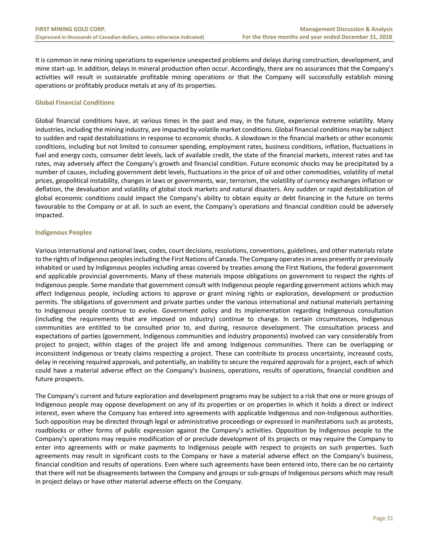It is common in new mining operations to experience unexpected problems and delays during construction, development, and mine start-up. In addition, delays in mineral production often occur. Accordingly, there are no assurances that the Company's activities will result in sustainable profitable mining operations or that the Company will successfully establish mining operations or profitably produce metals at any of its properties.

#### **Global Financial Conditions**

Global financial conditions have, at various times in the past and may, in the future, experience extreme volatility. Many industries, including the mining industry, are impacted by volatile market conditions. Global financial conditions may be subject to sudden and rapid destabilizations in response to economic shocks. A slowdown in the financial markets or other economic conditions, including but not limited to consumer spending, employment rates, business conditions, inflation, fluctuations in fuel and energy costs, consumer debt levels, lack of available credit, the state of the financial markets, interest rates and tax rates, may adversely affect the Company's growth and financial condition. Future economic shocks may be precipitated by a number of causes, including government debt levels, fluctuations in the price of oil and other commodities, volatility of metal prices, geopolitical instability, changes in laws or governments, war, terrorism, the volatility of currency exchanges inflation or deflation, the devaluation and volatility of global stock markets and natural disasters. Any sudden or rapid destabilization of global economic conditions could impact the Company's ability to obtain equity or debt financing in the future on terms favourable to the Company or at all. In such an event, the Company's operations and financial condition could be adversely impacted.

#### **Indigenous Peoples**

Various international and national laws, codes, court decisions, resolutions, conventions, guidelines, and other materials relate to the rights of Indigenous peoples including the First Nations of Canada. The Company operates in areas presently or previously inhabited or used by Indigenous peoples including areas covered by treaties among the First Nations, the federal government and applicable provincial governments. Many of these materials impose obligations on government to respect the rights of Indigenous people. Some mandate that government consult with Indigenous people regarding government actions which may affect Indigenous people, including actions to approve or grant mining rights or exploration, development or production permits. The obligations of government and private parties under the various international and national materials pertaining to Indigenous people continue to evolve. Government policy and its implementation regarding Indigenous consultation (including the requirements that are imposed on industry) continue to change. In certain circumstances, Indigenous communities are entitled to be consulted prior to, and during, resource development. The consultation process and expectations of parties (government, Indigenous communities and industry proponents) involved can vary considerably from project to project, within stages of the project life and among Indigenous communities. There can be overlapping or inconsistent Indigenous or treaty claims respecting a project. These can contribute to process uncertainty, increased costs, delay in receiving required approvals, and potentially, an inability to secure the required approvals for a project, each of which could have a material adverse effect on the Company's business, operations, results of operations, financial condition and future prospects.

The Company's current and future exploration and development programs may be subject to a risk that one or more groups of Indigenous people may oppose development on any of its properties or on properties in which it holds a direct or indirect interest, even where the Company has entered into agreements with applicable Indigenous and non-Indigenous authorities. Such opposition may be directed through legal or administrative proceedings or expressed in manifestations such as protests, roadblocks or other forms of public expression against the Company's activities. Opposition by Indigenous people to the Company's operations may require modification of or preclude development of its projects or may require the Company to enter into agreements with or make payments to Indigenous people with respect to projects on such properties. Such agreements may result in significant costs to the Company or have a material adverse effect on the Company's business, financial condition and results of operations. Even where such agreements have been entered into, there can be no certainty that there will not be disagreements between the Company and groups or sub‐groups of Indigenous persons which may result in project delays or have other material adverse effects on the Company.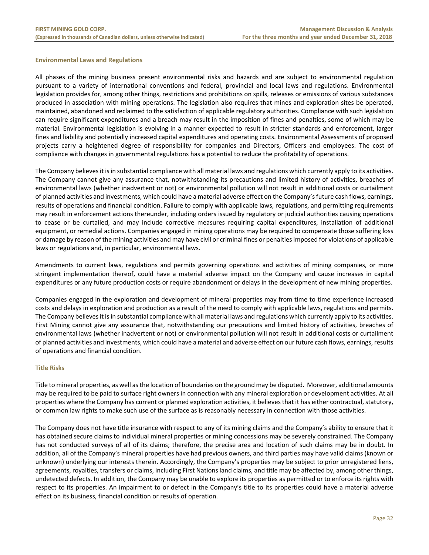#### **Environmental Laws and Regulations**

All phases of the mining business present environmental risks and hazards and are subject to environmental regulation pursuant to a variety of international conventions and federal, provincial and local laws and regulations. Environmental legislation provides for, among other things, restrictions and prohibitions on spills, releases or emissions of various substances produced in association with mining operations. The legislation also requires that mines and exploration sites be operated, maintained, abandoned and reclaimed to the satisfaction of applicable regulatory authorities. Compliance with such legislation can require significant expenditures and a breach may result in the imposition of fines and penalties, some of which may be material. Environmental legislation is evolving in a manner expected to result in stricter standards and enforcement, larger fines and liability and potentially increased capital expenditures and operating costs. Environmental Assessments of proposed projects carry a heightened degree of responsibility for companies and Directors, Officers and employees. The cost of compliance with changes in governmental regulations has a potential to reduce the profitability of operations.

The Company believes it is in substantial compliance with all material laws and regulations which currently apply to its activities. The Company cannot give any assurance that, notwithstanding its precautions and limited history of activities, breaches of environmental laws (whether inadvertent or not) or environmental pollution will not result in additional costs or curtailment of planned activities and investments, which could have a material adverse effect on the Company's future cash flows, earnings, results of operations and financial condition. Failure to comply with applicable laws, regulations, and permitting requirements may result in enforcement actions thereunder, including orders issued by regulatory or judicial authorities causing operations to cease or be curtailed, and may include corrective measures requiring capital expenditures, installation of additional equipment, or remedial actions. Companies engaged in mining operations may be required to compensate those suffering loss or damage by reason of the mining activities and may have civil or criminal fines or penalties imposed for violations of applicable laws or regulations and, in particular, environmental laws.

Amendments to current laws, regulations and permits governing operations and activities of mining companies, or more stringent implementation thereof, could have a material adverse impact on the Company and cause increases in capital expenditures or any future production costs or require abandonment or delays in the development of new mining properties.

Companies engaged in the exploration and development of mineral properties may from time to time experience increased costs and delays in exploration and production as a result of the need to comply with applicable laws, regulations and permits. The Company believes it is in substantial compliance with all material laws and regulations which currently apply to its activities. First Mining cannot give any assurance that, notwithstanding our precautions and limited history of activities, breaches of environmental laws (whether inadvertent or not) or environmental pollution will not result in additional costs or curtailment of planned activities and investments, which could have a material and adverse effect on our future cash flows, earnings, results of operations and financial condition.

#### **Title Risks**

Title to mineral properties, as well as the location of boundaries on the ground may be disputed. Moreover, additional amounts may be required to be paid to surface right owners in connection with any mineral exploration or development activities. At all properties where the Company has current or planned exploration activities, it believes that it has either contractual, statutory, or common law rights to make such use of the surface as is reasonably necessary in connection with those activities.

The Company does not have title insurance with respect to any of its mining claims and the Company's ability to ensure that it has obtained secure claims to individual mineral properties or mining concessions may be severely constrained. The Company has not conducted surveys of all of its claims; therefore, the precise area and location of such claims may be in doubt. In addition, all of the Company's mineral properties have had previous owners, and third parties may have valid claims (known or unknown) underlying our interests therein. Accordingly, the Company's properties may be subject to prior unregistered liens, agreements, royalties, transfers or claims, including First Nations land claims, and title may be affected by, among other things, undetected defects. In addition, the Company may be unable to explore its properties as permitted or to enforce its rights with respect to its properties. An impairment to or defect in the Company's title to its properties could have a material adverse effect on its business, financial condition or results of operation.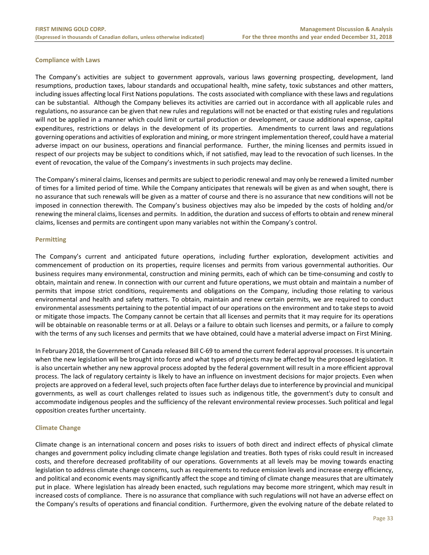#### **Compliance with Laws**

The Company's activities are subject to government approvals, various laws governing prospecting, development, land resumptions, production taxes, labour standards and occupational health, mine safety, toxic substances and other matters, including issues affecting local First Nations populations. The costs associated with compliance with these laws and regulations can be substantial. Although the Company believes its activities are carried out in accordance with all applicable rules and regulations, no assurance can be given that new rules and regulations will not be enacted or that existing rules and regulations will not be applied in a manner which could limit or curtail production or development, or cause additional expense, capital expenditures, restrictions or delays in the development of its properties. Amendments to current laws and regulations governing operations and activities of exploration and mining, or more stringent implementation thereof, could have a material adverse impact on our business, operations and financial performance. Further, the mining licenses and permits issued in respect of our projects may be subject to conditions which, if not satisfied, may lead to the revocation of such licenses. In the event of revocation, the value of the Company's investments in such projects may decline.

The Company's mineral claims, licenses and permits are subject to periodic renewal and may only be renewed a limited number of times for a limited period of time. While the Company anticipates that renewals will be given as and when sought, there is no assurance that such renewals will be given as a matter of course and there is no assurance that new conditions will not be imposed in connection therewith. The Company's business objectives may also be impeded by the costs of holding and/or renewing the mineral claims, licenses and permits. In addition, the duration and success of efforts to obtain and renew mineral claims, licenses and permits are contingent upon many variables not within the Company's control.

#### **Permitting**

The Company's current and anticipated future operations, including further exploration, development activities and commencement of production on its properties, require licenses and permits from various governmental authorities. Our business requires many environmental, construction and mining permits, each of which can be time‐consuming and costly to obtain, maintain and renew. In connection with our current and future operations, we must obtain and maintain a number of permits that impose strict conditions, requirements and obligations on the Company, including those relating to various environmental and health and safety matters. To obtain, maintain and renew certain permits, we are required to conduct environmental assessments pertaining to the potential impact of our operations on the environment and to take steps to avoid or mitigate those impacts. The Company cannot be certain that all licenses and permits that it may require for its operations will be obtainable on reasonable terms or at all. Delays or a failure to obtain such licenses and permits, or a failure to comply with the terms of any such licenses and permits that we have obtained, could have a material adverse impact on First Mining.

In February 2018, the Government of Canada released Bill C-69 to amend the current federal approval processes. It is uncertain when the new legislation will be brought into force and what types of projects may be affected by the proposed legislation. It is also uncertain whether any new approval process adopted by the federal government will result in a more efficient approval process. The lack of regulatory certainty is likely to have an influence on investment decisions for major projects. Even when projects are approved on a federal level, such projects often face further delays due to interference by provincial and municipal governments, as well as court challenges related to issues such as indigenous title, the government's duty to consult and accommodate indigenous peoples and the sufficiency of the relevant environmental review processes. Such political and legal opposition creates further uncertainty.

#### **Climate Change**

Climate change is an international concern and poses risks to issuers of both direct and indirect effects of physical climate changes and government policy including climate change legislation and treaties. Both types of risks could result in increased costs, and therefore decreased profitability of our operations. Governments at all levels may be moving towards enacting legislation to address climate change concerns, such as requirements to reduce emission levels and increase energy efficiency, and political and economic events may significantly affect the scope and timing of climate change measures that are ultimately put in place. Where legislation has already been enacted, such regulations may become more stringent, which may result in increased costs of compliance. There is no assurance that compliance with such regulations will not have an adverse effect on the Company's results of operations and financial condition. Furthermore, given the evolving nature of the debate related to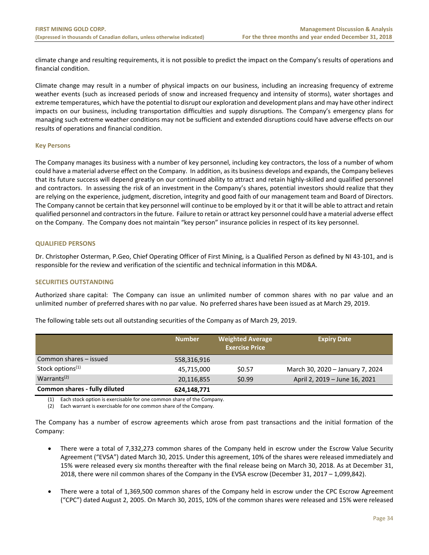climate change and resulting requirements, it is not possible to predict the impact on the Company's results of operations and financial condition.

Climate change may result in a number of physical impacts on our business, including an increasing frequency of extreme weather events (such as increased periods of snow and increased frequency and intensity of storms), water shortages and extreme temperatures, which have the potential to disrupt our exploration and development plans and may have other indirect impacts on our business, including transportation difficulties and supply disruptions. The Company's emergency plans for managing such extreme weather conditions may not be sufficient and extended disruptions could have adverse effects on our results of operations and financial condition.

#### **Key Persons**

The Company manages its business with a number of key personnel, including key contractors, the loss of a number of whom could have a material adverse effect on the Company. In addition, as its business develops and expands, the Company believes that its future success will depend greatly on our continued ability to attract and retain highly‐skilled and qualified personnel and contractors. In assessing the risk of an investment in the Company's shares, potential investors should realize that they are relying on the experience, judgment, discretion, integrity and good faith of our management team and Board of Directors. The Company cannot be certain that key personnel will continue to be employed by it or that it will be able to attract and retain qualified personnel and contractors in the future. Failure to retain or attract key personnel could have a material adverse effect on the Company. The Company does not maintain "key person" insurance policies in respect of its key personnel.

#### **QUALIFIED PERSONS**

Dr. Christopher Osterman, P.Geo, Chief Operating Officer of First Mining, is a Qualified Person as defined by NI 43‐101, and is responsible for the review and verification of the scientific and technical information in this MD&A.

#### **SECURITIES OUTSTANDING**

Authorized share capital: The Company can issue an unlimited number of common shares with no par value and an unlimited number of preferred shares with no par value. No preferred shares have been issued as at March 29, 2019.

|                               | <b>Number</b> | <b>Weighted Average</b><br><b>Exercise Price</b> | <b>Expiry Date</b>               |
|-------------------------------|---------------|--------------------------------------------------|----------------------------------|
| Common shares - issued        | 558,316,916   |                                                  |                                  |
| Stock options <sup>(1)</sup>  | 45,715,000    | \$0.57                                           | March 30, 2020 - January 7, 2024 |
| Warrants <sup>(2)</sup>       | 20,116,855    | \$0.99                                           | April 2, 2019 - June 16, 2021    |
| Common shares - fully diluted | 624,148,771   |                                                  |                                  |

The following table sets out all outstanding securities of the Company as of March 29, 2019.

(1) Each stock option is exercisable for one common share of the Company.

(2) Each warrant is exercisable for one common share of the Company.

The Company has a number of escrow agreements which arose from past transactions and the initial formation of the Company:

- There were a total of 7,332,273 common shares of the Company held in escrow under the Escrow Value Security Agreement ("EVSA") dated March 30, 2015. Under this agreement, 10% of the shares were released immediately and 15% were released every six months thereafter with the final release being on March 30, 2018. As at December 31, 2018, there were nil common shares of the Company in the EVSA escrow (December 31, 2017 – 1,099,842).
- There were a total of 1,369,500 common shares of the Company held in escrow under the CPC Escrow Agreement ("CPC") dated August 2, 2005. On March 30, 2015, 10% of the common shares were released and 15% were released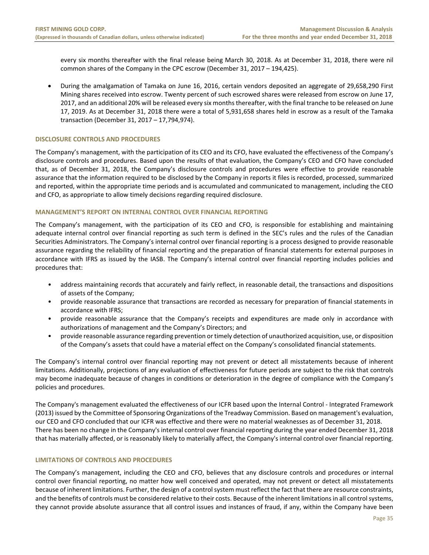every six months thereafter with the final release being March 30, 2018. As at December 31, 2018, there were nil common shares of the Company in the CPC escrow (December 31, 2017 – 194,425).

 During the amalgamation of Tamaka on June 16, 2016, certain vendors deposited an aggregate of 29,658,290 First Mining shares received into escrow. Twenty percent of such escrowed shares were released from escrow on June 17, 2017, and an additional 20% will be released every six months thereafter, with the final tranche to be released on June 17, 2019. As at December 31, 2018 there were a total of 5,931,658 shares held in escrow as a result of the Tamaka transaction (December 31, 2017 – 17,794,974).

#### **DISCLOSURE CONTROLS AND PROCEDURES**

The Company's management, with the participation of its CEO and its CFO, have evaluated the effectiveness of the Company's disclosure controls and procedures. Based upon the results of that evaluation, the Company's CEO and CFO have concluded that, as of December 31, 2018, the Company's disclosure controls and procedures were effective to provide reasonable assurance that the information required to be disclosed by the Company in reports it files is recorded, processed, summarized and reported, within the appropriate time periods and is accumulated and communicated to management, including the CEO and CFO, as appropriate to allow timely decisions regarding required disclosure.

#### **MANAGEMENT'S REPORT ON INTERNAL CONTROL OVER FINANCIAL REPORTING**

The Company's management, with the participation of its CEO and CFO, is responsible for establishing and maintaining adequate internal control over financial reporting as such term is defined in the SEC's rules and the rules of the Canadian Securities Administrators. The Company's internal control over financial reporting is a process designed to provide reasonable assurance regarding the reliability of financial reporting and the preparation of financial statements for external purposes in accordance with IFRS as issued by the IASB. The Company's internal control over financial reporting includes policies and procedures that:

- address maintaining records that accurately and fairly reflect, in reasonable detail, the transactions and dispositions of assets of the Company;
- provide reasonable assurance that transactions are recorded as necessary for preparation of financial statements in accordance with IFRS;
- provide reasonable assurance that the Company's receipts and expenditures are made only in accordance with authorizations of management and the Company's Directors; and
- provide reasonable assurance regarding prevention or timely detection of unauthorized acquisition, use, or disposition of the Company's assets that could have a material effect on the Company's consolidated financial statements.

The Company's internal control over financial reporting may not prevent or detect all misstatements because of inherent limitations. Additionally, projections of any evaluation of effectiveness for future periods are subject to the risk that controls may become inadequate because of changes in conditions or deterioration in the degree of compliance with the Company's policies and procedures.

The Company's management evaluated the effectiveness of our ICFR based upon the Internal Control ‐ Integrated Framework (2013) issued by the Committee of Sponsoring Organizations of the Treadway Commission. Based on management's evaluation, our CEO and CFO concluded that our ICFR was effective and there were no material weaknesses as of December 31, 2018. There has been no change in the Company's internal control over financial reporting during the year ended December 31, 2018 that has materially affected, or is reasonably likely to materially affect, the Company's internal control over financial reporting.

#### **LIMITATIONS OF CONTROLS AND PROCEDURES**

The Company's management, including the CEO and CFO, believes that any disclosure controls and procedures or internal control over financial reporting, no matter how well conceived and operated, may not prevent or detect all misstatements because of inherent limitations. Further, the design of a control system must reflect the fact that there are resource constraints, and the benefits of controls must be considered relative to their costs. Because of the inherent limitations in all control systems, they cannot provide absolute assurance that all control issues and instances of fraud, if any, within the Company have been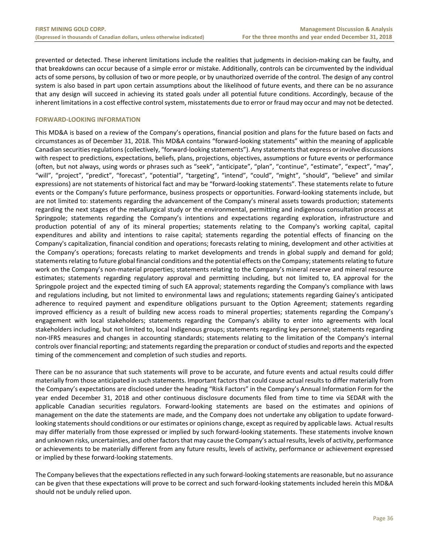prevented or detected. These inherent limitations include the realities that judgments in decision‐making can be faulty, and that breakdowns can occur because of a simple error or mistake. Additionally, controls can be circumvented by the individual acts of some persons, by collusion of two or more people, or by unauthorized override of the control. The design of any control system is also based in part upon certain assumptions about the likelihood of future events, and there can be no assurance that any design will succeed in achieving its stated goals under all potential future conditions. Accordingly, because of the inherent limitations in a cost effective control system, misstatements due to error or fraud may occur and may not be detected.

#### **FORWARD‐LOOKING INFORMATION**

This MD&A is based on a review of the Company's operations, financial position and plans for the future based on facts and circumstances as of December 31, 2018. This MD&A contains "forward‐looking statements" within the meaning of applicable Canadian securities regulations (collectively, "forward‐looking statements"). Any statements that express or involve discussions with respect to predictions, expectations, beliefs, plans, projections, objectives, assumptions or future events or performance (often, but not always, using words or phrases such as "seek", "anticipate", "plan", "continue", "estimate", "expect", "may", "will", "project", "predict", "forecast", "potential", "targeting", "intend", "could", "might", "should", "believe" and similar expressions) are not statements of historical fact and may be "forward‐looking statements". These statements relate to future events or the Company's future performance, business prospects or opportunities. Forward-looking statements include, but are not limited to: statements regarding the advancement of the Company's mineral assets towards production; statements regarding the next stages of the metallurgical study or the environmental, permitting and indigenous consultation process at Springpole; statements regarding the Company's intentions and expectations regarding exploration, infrastructure and production potential of any of its mineral properties; statements relating to the Company's working capital, capital expenditures and ability and intentions to raise capital; statements regarding the potential effects of financing on the Company's capitalization, financial condition and operations; forecasts relating to mining, development and other activities at the Company's operations; forecasts relating to market developments and trends in global supply and demand for gold; statements relating to future global financial conditions and the potential effects on the Company; statements relating to future work on the Company's non-material properties; statements relating to the Company's mineral reserve and mineral resource estimates; statements regarding regulatory approval and permitting including, but not limited to, EA approval for the Springpole project and the expected timing of such EA approval; statements regarding the Company's compliance with laws and regulations including, but not limited to environmental laws and regulations; statements regarding Gainey's anticipated adherence to required payment and expenditure obligations pursuant to the Option Agreement; statements regarding improved efficiency as a result of building new access roads to mineral properties; statements regarding the Company's engagement with local stakeholders; statements regarding the Company's ability to enter into agreements with local stakeholders including, but not limited to, local Indigenous groups; statements regarding key personnel; statements regarding non-IFRS measures and changes in accounting standards; statements relating to the limitation of the Company's internal controls over financial reporting; and statements regarding the preparation or conduct of studies and reports and the expected timing of the commencement and completion of such studies and reports.

There can be no assurance that such statements will prove to be accurate, and future events and actual results could differ materially from those anticipated in such statements. Important factors that could cause actual results to differ materially from the Company's expectations are disclosed under the heading "Risk Factors" in the Company's Annual Information Form for the year ended December 31, 2018 and other continuous disclosure documents filed from time to time via SEDAR with the applicable Canadian securities regulators. Forward-looking statements are based on the estimates and opinions of management on the date the statements are made, and the Company does not undertake any obligation to update forward‐ looking statements should conditions or our estimates or opinions change, except as required by applicable laws. Actual results may differ materially from those expressed or implied by such forward‐looking statements. These statements involve known and unknown risks, uncertainties, and other factors that may cause the Company's actual results, levels of activity, performance or achievements to be materially different from any future results, levels of activity, performance or achievement expressed or implied by these forward‐looking statements.

The Company believes that the expectations reflected in any such forward‐looking statements are reasonable, but no assurance can be given that these expectations will prove to be correct and such forward‐looking statements included herein this MD&A should not be unduly relied upon.